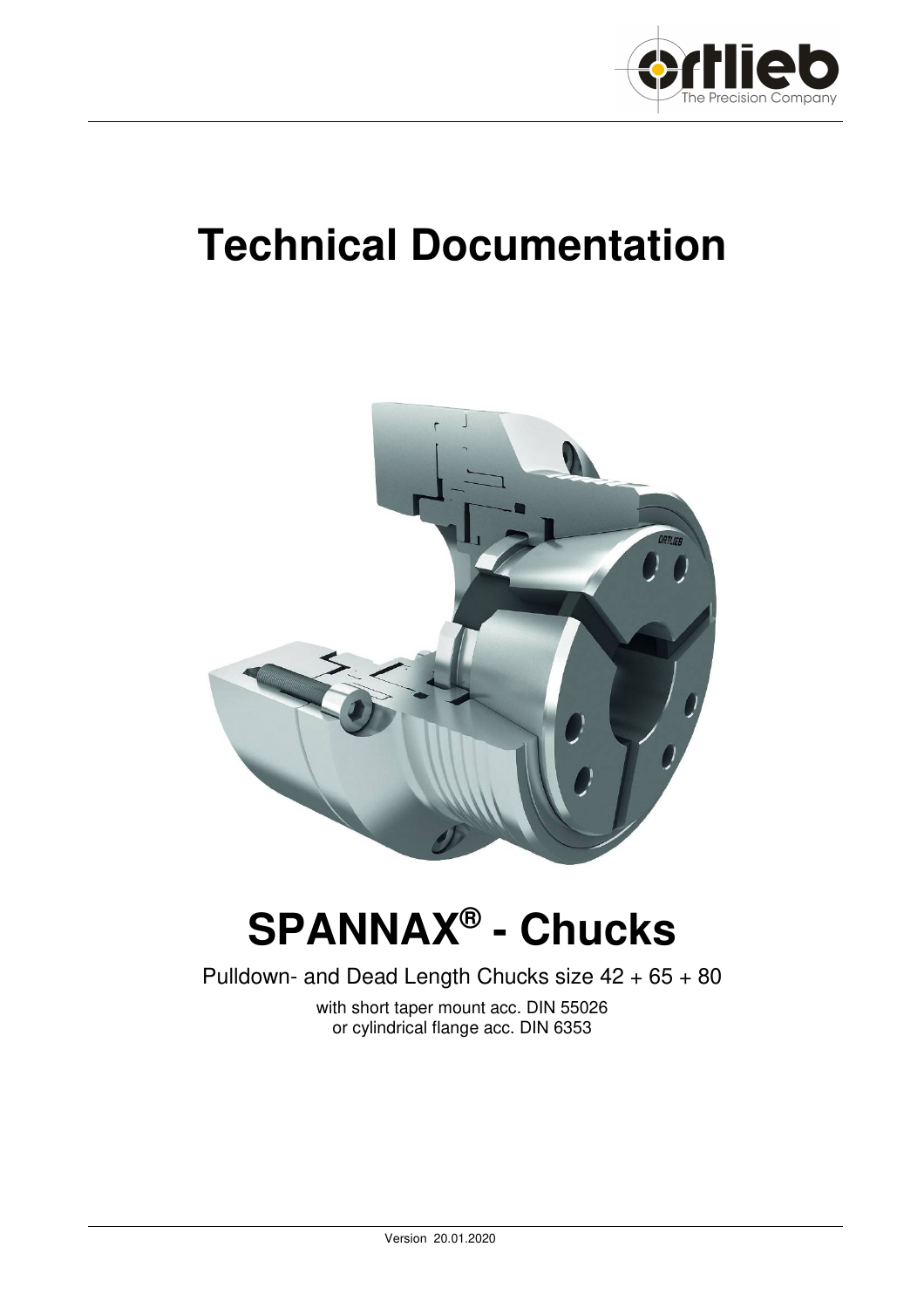

# **Technical Documentation**



# **SPANNAX® - Chucks**

Pulldown- and Dead Length Chucks size 42 + 65 + 80

with short taper mount acc. DIN 55026 or cylindrical flange acc. DIN 6353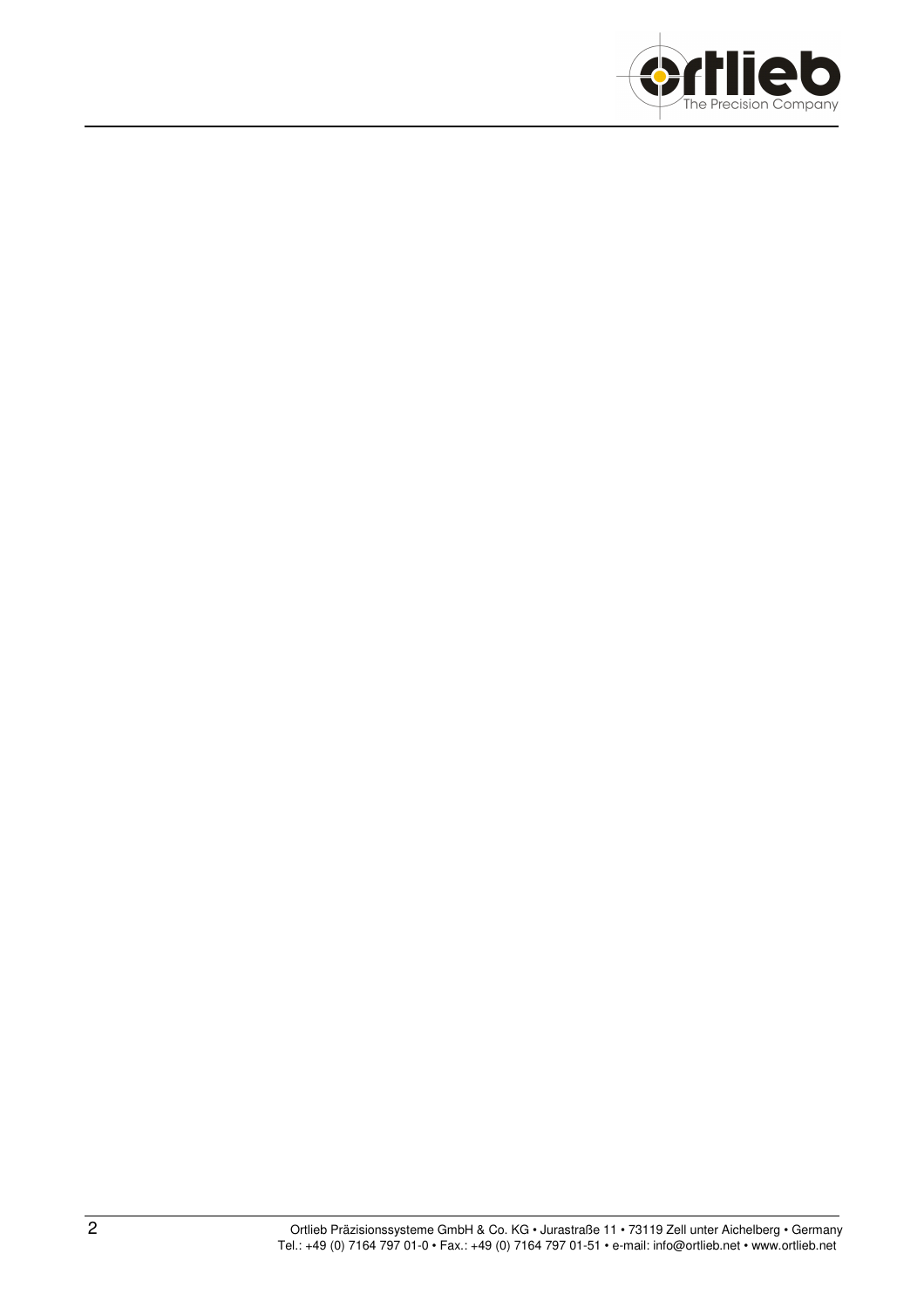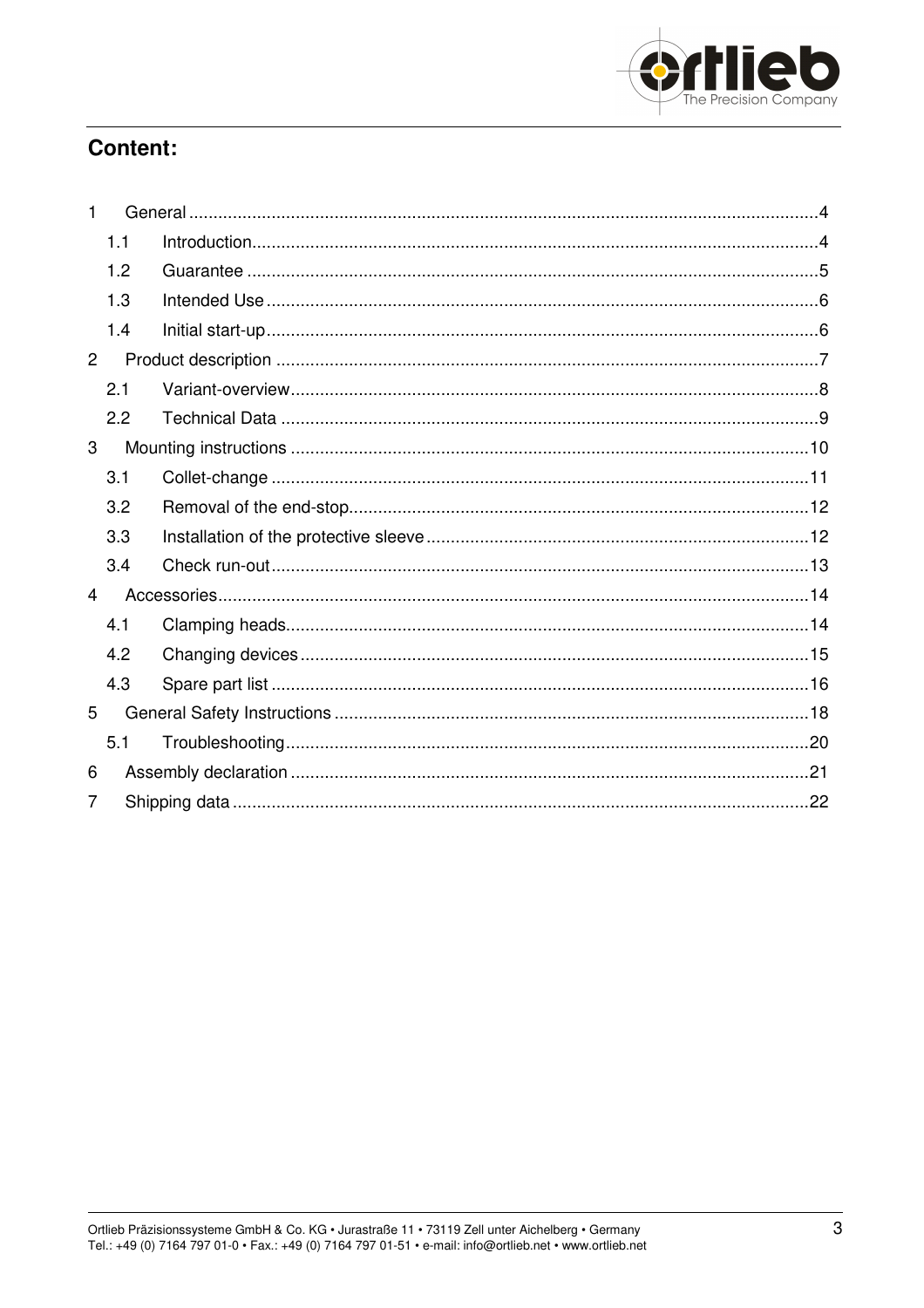

# **Content:**

| 1              |     |  |
|----------------|-----|--|
|                | 1.1 |  |
|                | 1.2 |  |
|                | 1.3 |  |
|                | 1.4 |  |
| $\overline{2}$ |     |  |
|                | 2.1 |  |
|                | 2.2 |  |
| 3              |     |  |
|                | 3.1 |  |
|                | 3.2 |  |
|                | 3.3 |  |
|                | 3.4 |  |
| $\overline{4}$ |     |  |
|                | 4.1 |  |
|                | 4.2 |  |
|                | 4.3 |  |
| 5              |     |  |
|                | 5.1 |  |
| 6              |     |  |
| 7              |     |  |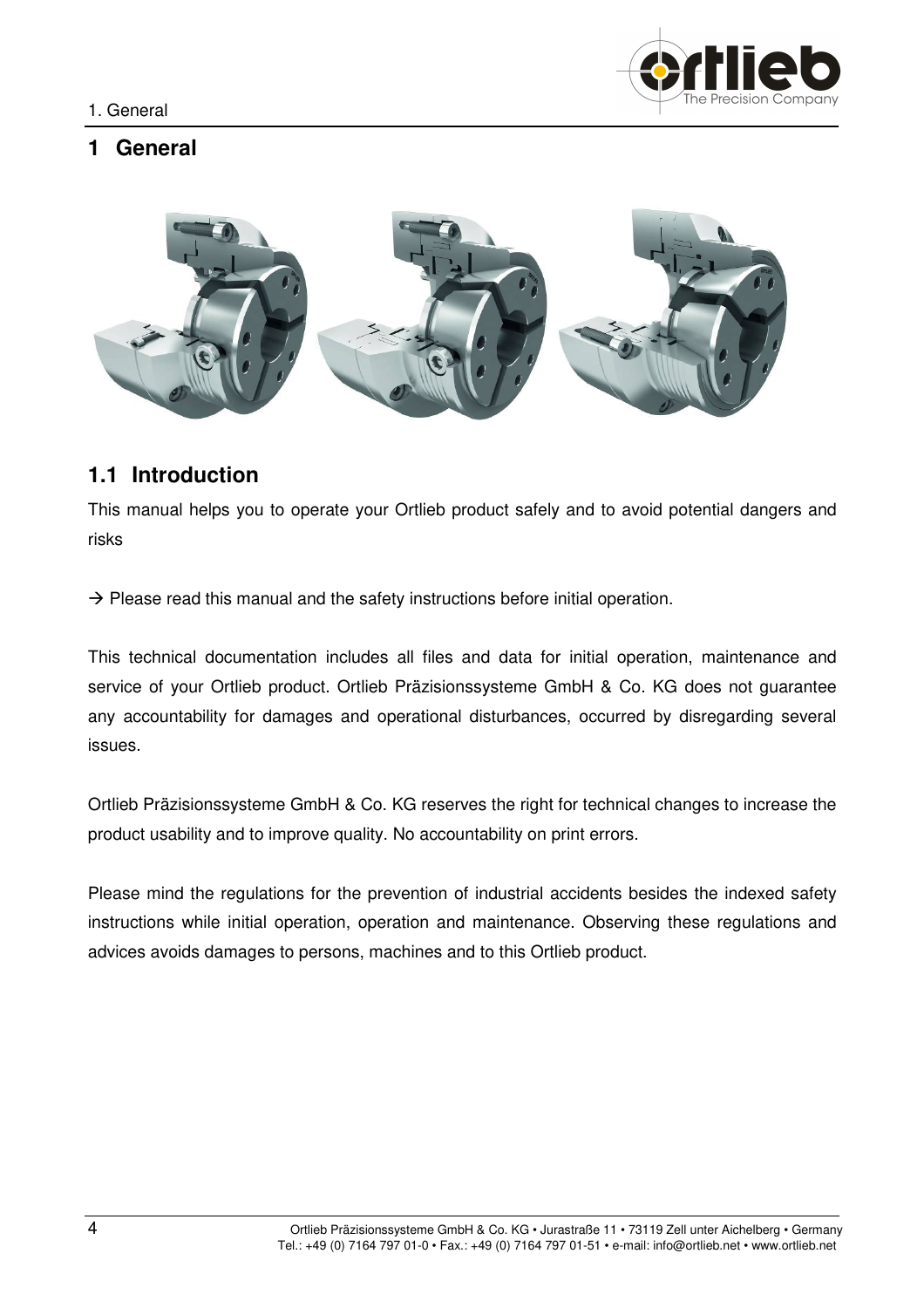

# **1 General**



# **1.1 Introduction**

This manual helps you to operate your Ortlieb product safely and to avoid potential dangers and risks

 $\rightarrow$  Please read this manual and the safety instructions before initial operation.

This technical documentation includes all files and data for initial operation, maintenance and service of your Ortlieb product. Ortlieb Präzisionssysteme GmbH & Co. KG does not guarantee any accountability for damages and operational disturbances, occurred by disregarding several issues.

Ortlieb Präzisionssysteme GmbH & Co. KG reserves the right for technical changes to increase the product usability and to improve quality. No accountability on print errors.

Please mind the regulations for the prevention of industrial accidents besides the indexed safety instructions while initial operation, operation and maintenance. Observing these regulations and advices avoids damages to persons, machines and to this Ortlieb product.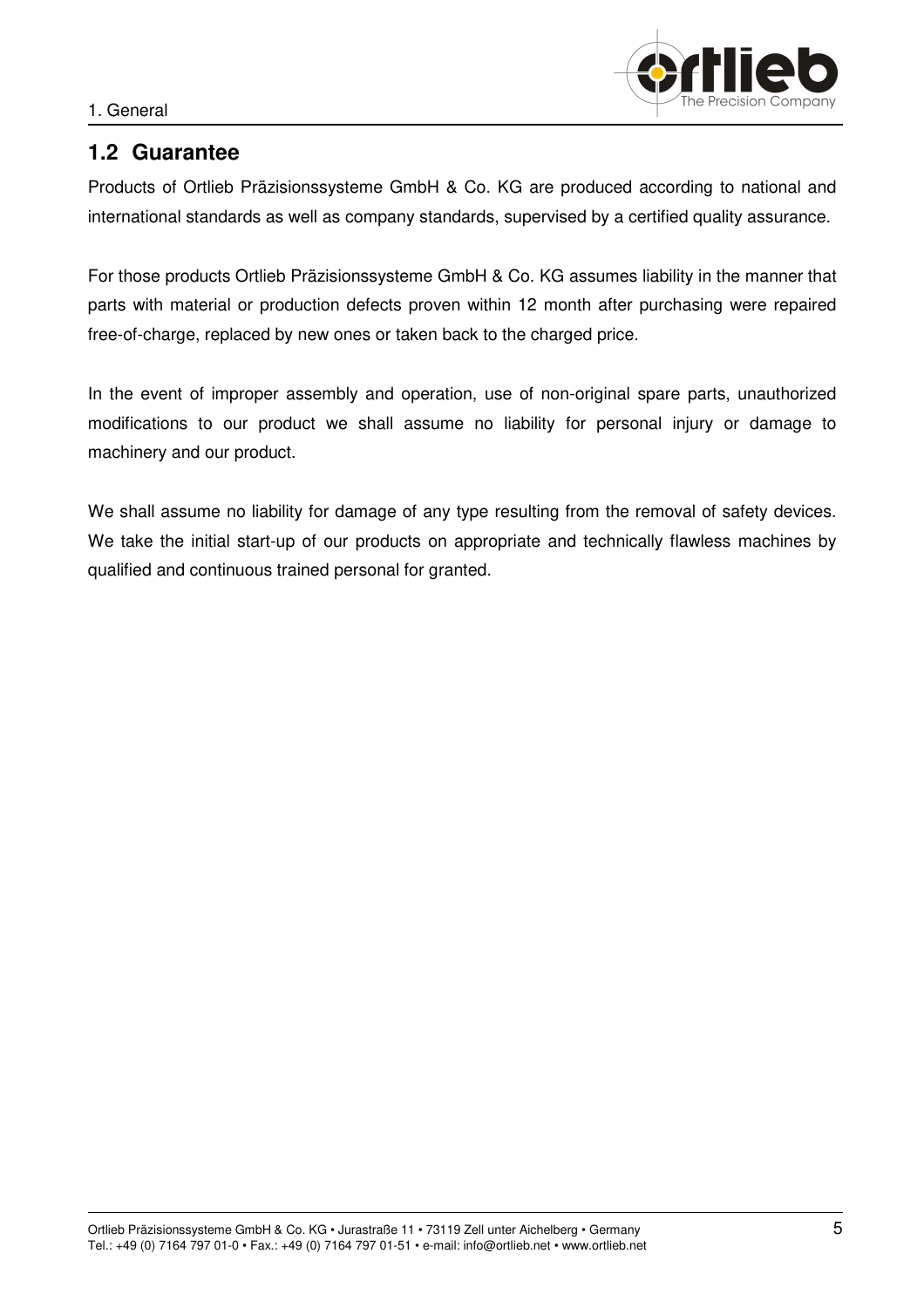#### 1. General



# **1.2 Guarantee**

Products of Ortlieb Präzisionssysteme GmbH & Co. KG are produced according to national and international standards as well as company standards, supervised by a certified quality assurance.

For those products Ortlieb Präzisionssysteme GmbH & Co. KG assumes liability in the manner that parts with material or production defects proven within 12 month after purchasing were repaired free-of-charge, replaced by new ones or taken back to the charged price.

In the event of improper assembly and operation, use of non-original spare parts, unauthorized modifications to our product we shall assume no liability for personal injury or damage to machinery and our product.

We shall assume no liability for damage of any type resulting from the removal of safety devices. We take the initial start-up of our products on appropriate and technically flawless machines by qualified and continuous trained personal for granted.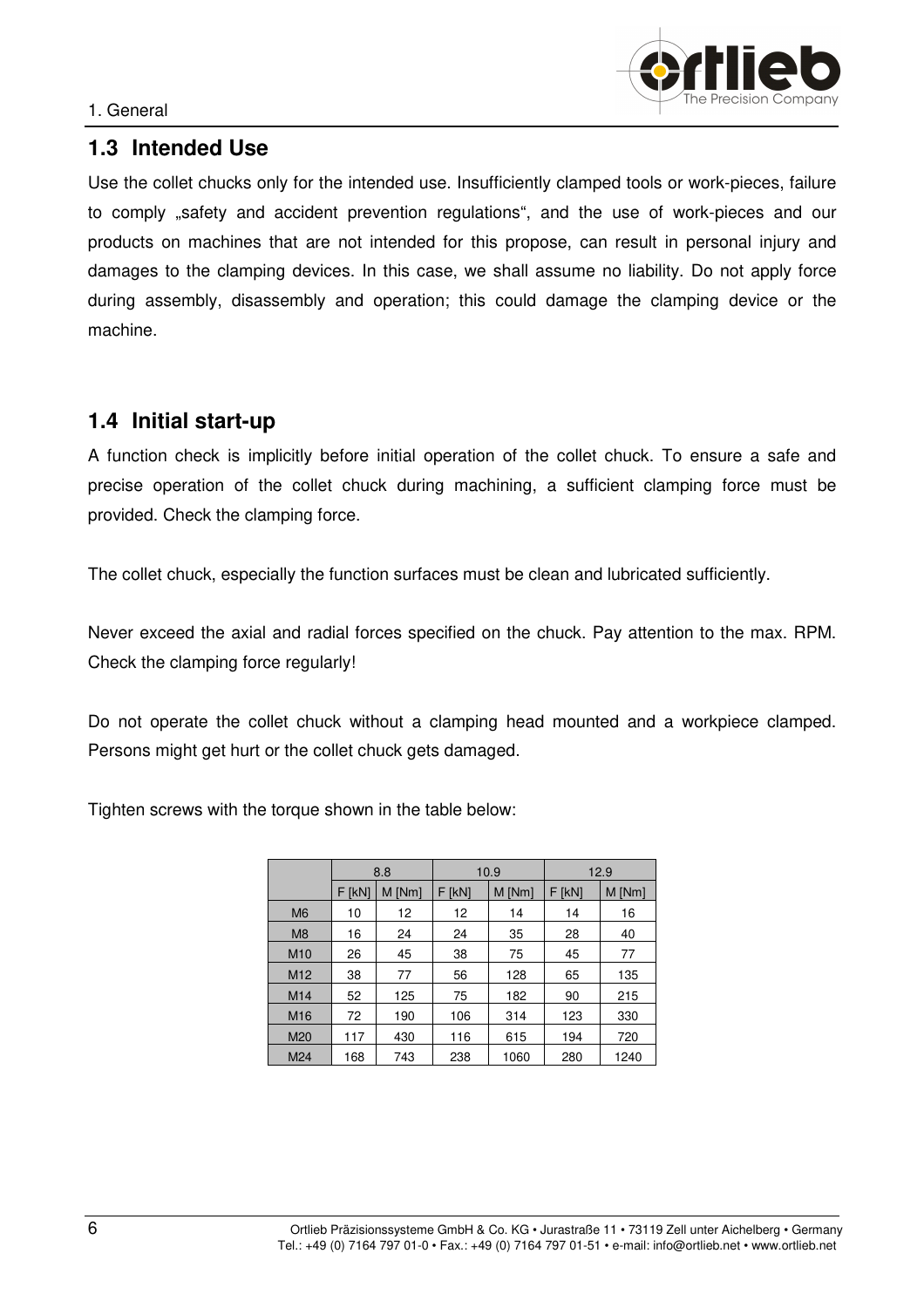

# **1.3 Intended Use**

Use the collet chucks only for the intended use. Insufficiently clamped tools or work-pieces, failure to comply "safety and accident prevention regulations", and the use of work-pieces and our products on machines that are not intended for this propose, can result in personal injury and damages to the clamping devices. In this case, we shall assume no liability. Do not apply force during assembly, disassembly and operation; this could damage the clamping device or the machine.

# **1.4 Initial start-up**

A function check is implicitly before initial operation of the collet chuck. To ensure a safe and precise operation of the collet chuck during machining, a sufficient clamping force must be provided. Check the clamping force.

The collet chuck, especially the function surfaces must be clean and lubricated sufficiently.

Never exceed the axial and radial forces specified on the chuck. Pay attention to the max. RPM. Check the clamping force regularly!

Do not operate the collet chuck without a clamping head mounted and a workpiece clamped. Persons might get hurt or the collet chuck gets damaged.

Tighten screws with the torque shown in the table below:

|                 | 8.8        |          |        | 10.9   | 12.9   |          |  |
|-----------------|------------|----------|--------|--------|--------|----------|--|
|                 | F [kN]     | $M$ [Nm] | F [kN] | M [Nm] | F [kN] | $M$ [Nm] |  |
| M <sub>6</sub>  | 10         | 12       | 12     | 14     | 14     | 16       |  |
| M8              | 16         | 24       | 24     | 35     | 28     | 40       |  |
| M <sub>10</sub> | 26         | 45       | 38     | 75     | 45     | 77       |  |
| M <sub>12</sub> | 38         | 77       | 56     | 128    | 65     | 135      |  |
| M <sub>14</sub> | 52         | 125      | 75     | 182    | 90     | 215      |  |
| M <sub>16</sub> | 72         | 190      | 106    | 314    | 123    | 330      |  |
| M <sub>20</sub> | 117        | 430      | 116    | 615    | 194    | 720      |  |
| M <sub>24</sub> | 743<br>168 |          | 238    | 1060   | 280    | 1240     |  |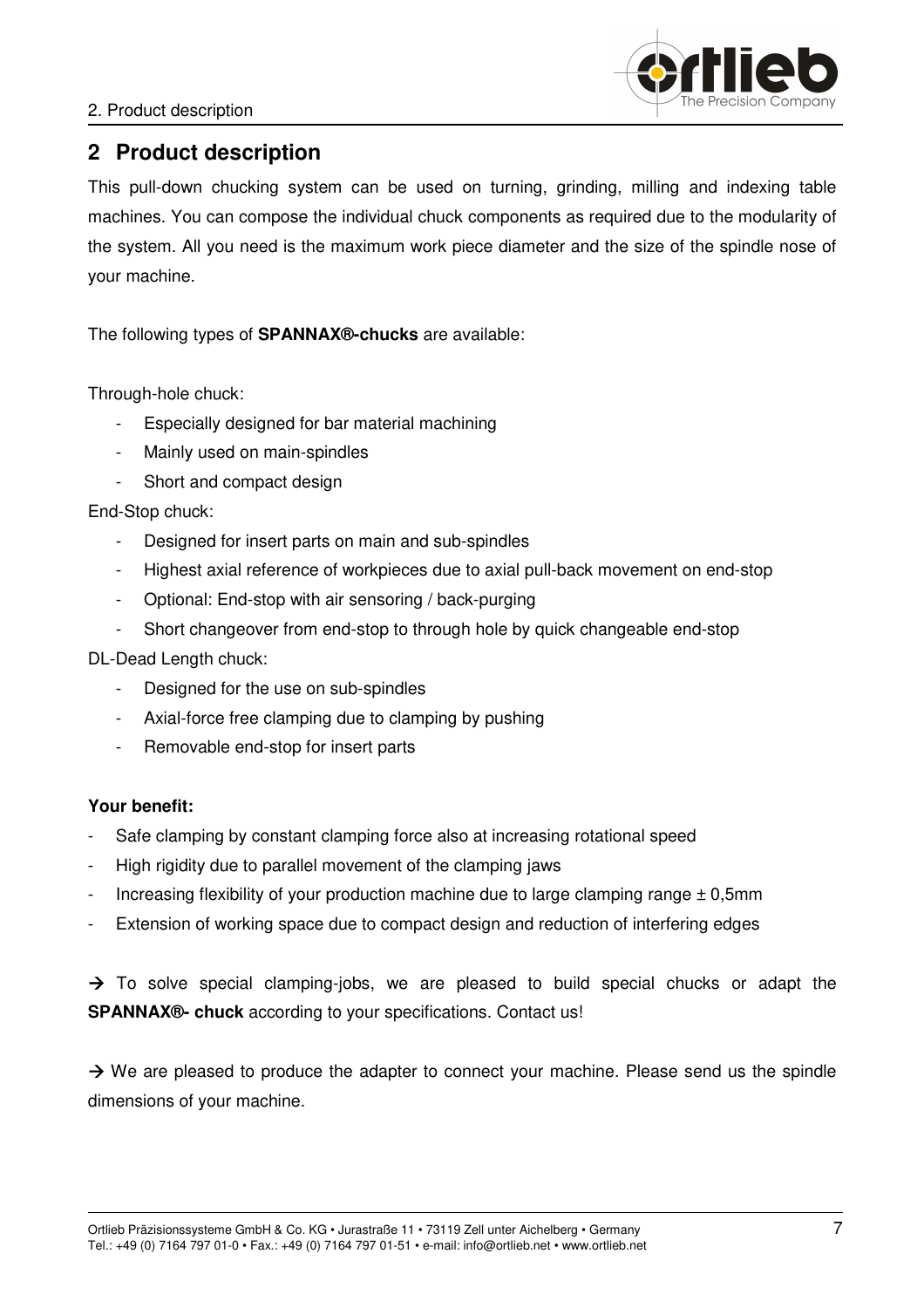#### 2. Product description



# **2 Product description**

This pull-down chucking system can be used on turning, grinding, milling and indexing table machines. You can compose the individual chuck components as required due to the modularity of the system. All you need is the maximum work piece diameter and the size of the spindle nose of your machine.

The following types of **SPANNAX®-chucks** are available:

Through-hole chuck:

- Especially designed for bar material machining
- Mainly used on main-spindles
- Short and compact design

End-Stop chuck:

- Designed for insert parts on main and sub-spindles
- Highest axial reference of workpieces due to axial pull-back movement on end-stop
- Optional: End-stop with air sensoring / back-purging
- Short changeover from end-stop to through hole by quick changeable end-stop

DL-Dead Length chuck:

- Designed for the use on sub-spindles
- Axial-force free clamping due to clamping by pushing
- Removable end-stop for insert parts

#### **Your benefit:**

- Safe clamping by constant clamping force also at increasing rotational speed
- High rigidity due to parallel movement of the clamping jaws
- Increasing flexibility of your production machine due to large clamping range  $\pm$  0.5mm
- Extension of working space due to compact design and reduction of interfering edges

 $\rightarrow$  To solve special clamping-jobs, we are pleased to build special chucks or adapt the **SPANNAX®- chuck** according to your specifications. Contact us!

 $\rightarrow$  We are pleased to produce the adapter to connect your machine. Please send us the spindle dimensions of your machine.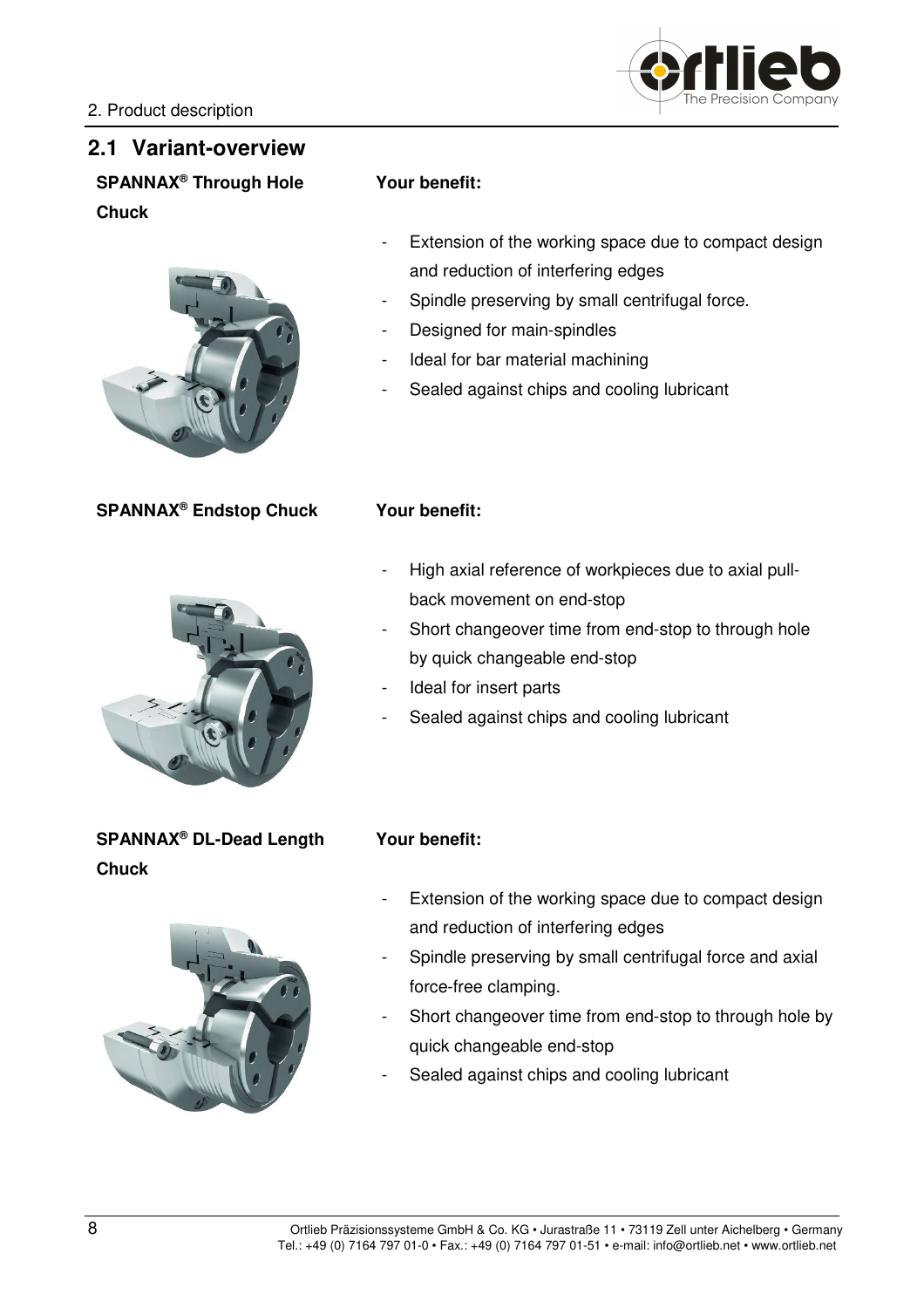

# **2.1 Variant-overview SPANNAX ® Through Hole Chuck**

### **SPANNAX® Endstop Chuck Your benefit:**



**Your benefit:**

High axial reference of workpieces due to axial pullback movement on end-stop

Extension of the working space due to compact design

and reduction of interfering edges

Designed for main-spindles

Ideal for bar material machining

Spindle preserving by small centrifugal force.

Sealed against chips and cooling lubricant

- Short changeover time from end-stop to through hole by quick changeable end-stop
- Ideal for insert parts
- Sealed against chips and cooling lubricant

# **SPANNAX® DL-Dead Length Chuck**



### **Your benefit:**

- Extension of the working space due to compact design and reduction of interfering edges
- Spindle preserving by small centrifugal force and axial force-free clamping.
- Short changeover time from end-stop to through hole by quick changeable end-stop
- Sealed against chips and cooling lubricant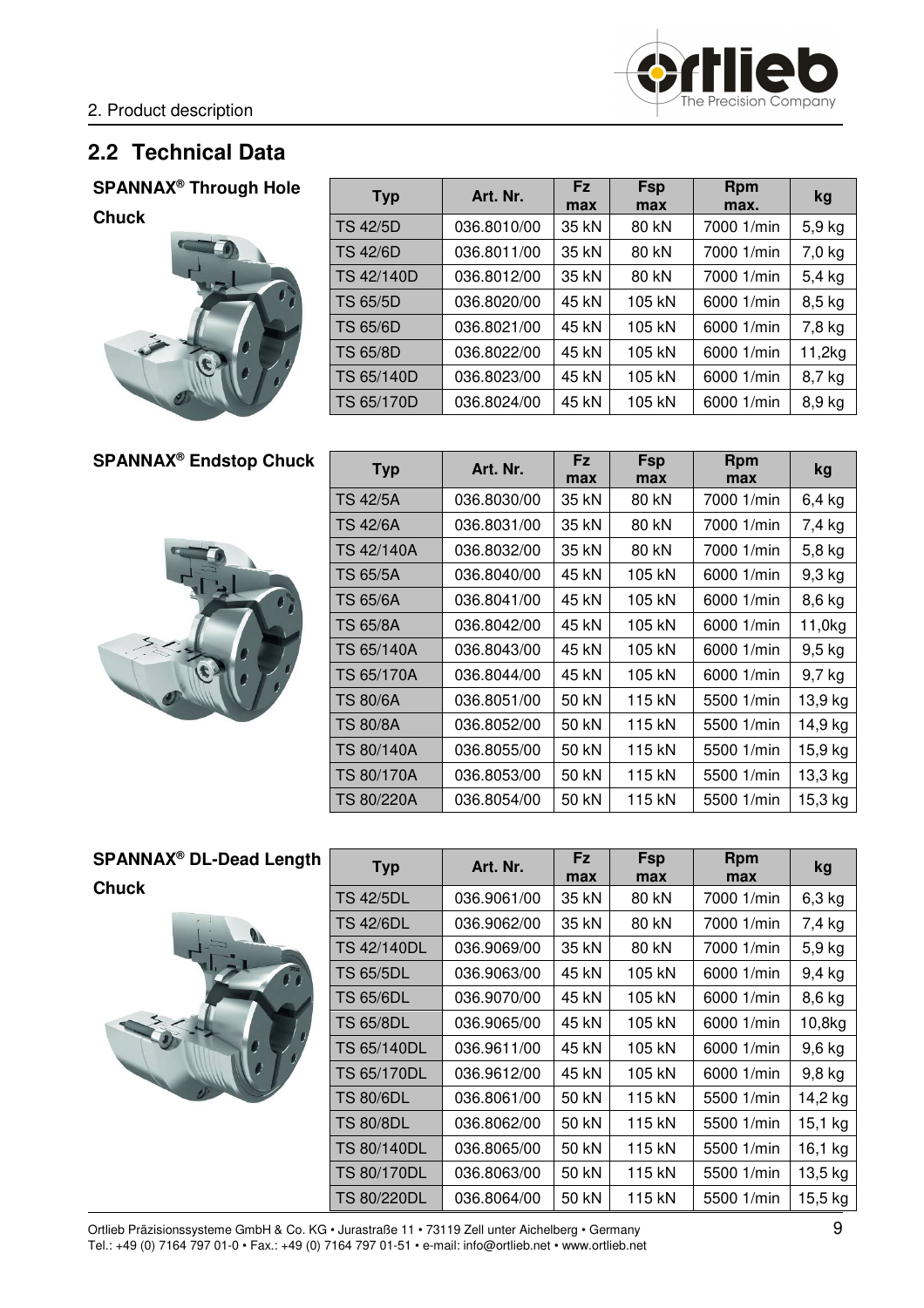# **2.2 Technical Data**

# **SPANNAX® Through Hole**

**Chuck**



| <b>Typ</b>      | Art. Nr.    | <b>Fz</b><br>max | <b>Fsp</b><br>max | <b>Rpm</b><br>max. | kg       |
|-----------------|-------------|------------------|-------------------|--------------------|----------|
| <b>TS 42/5D</b> | 036.8010/00 | 35 kN            | 80 kN             | 7000 1/min         | $5,9$ kg |
| <b>TS 42/6D</b> | 036.8011/00 | 35 kN            | 80 kN             | 7000 1/min         | 7,0 kg   |
| TS 42/140D      | 036.8012/00 | 35 kN            | 80 kN             | 7000 1/min         | 5,4 kg   |
| <b>TS 65/5D</b> | 036.8020/00 | 45 kN            | 105 kN            | 6000 1/min         | $8,5$ kg |
| <b>TS 65/6D</b> | 036.8021/00 | 45 kN            | 105 kN            | 6000 1/min         | 7,8 kg   |
| <b>TS 65/8D</b> | 036.8022/00 | 45 kN            | 105 kN            | 6000 1/min         | 11,2kg   |
| TS 65/140D      | 036.8023/00 | 45 kN            | 105 kN            | 6000 1/min         | 8,7 kg   |
| TS 65/170D      | 036.8024/00 | 45 kN            | 105 kN            | 6000 1/min         | 8,9 kg   |

# $SPANNAX^@$  **Endstop Chuck**



| <b>Typ</b>      | Art. Nr.    | <b>Fz</b><br>max | <b>Fsp</b><br>max | <b>Rpm</b><br>max | kg       |
|-----------------|-------------|------------------|-------------------|-------------------|----------|
| <b>TS 42/5A</b> | 036.8030/00 |                  | 80 kN             | 7000 1/min        | $6,4$ kg |
| <b>TS 42/6A</b> | 036.8031/00 | 35 kN            | 80 kN             | 7000 1/min        | 7,4 kg   |
| TS 42/140A      | 036.8032/00 | 35 kN            | 80 kN             | 7000 1/min        | $5,8$ kg |
| <b>TS 65/5A</b> | 036.8040/00 | 45 kN            | 105 kN            | 6000 1/min        | $9,3$ kg |
| <b>TS 65/6A</b> | 036.8041/00 | 45 kN            | 105 kN            | 6000 1/min        | $8,6$ kg |
| <b>TS 65/8A</b> | 036.8042/00 | 45 kN            | 105 kN            | 6000 1/min        | 11,0kg   |
| TS 65/140A      | 036.8043/00 | 45 kN            | 105 kN            | 6000 1/min        | $9,5$ kg |
| TS 65/170A      | 036.8044/00 | 45 kN            | 105 kN            | 6000 1/min        | 9,7 kg   |
| <b>TS 80/6A</b> | 036.8051/00 | 50 kN            | 115 kN            | 5500 1/min        | 13,9 kg  |
| <b>TS 80/8A</b> | 036.8052/00 | 50 kN            | 115 kN            | 5500 1/min        | 14,9 kg  |
| TS 80/140A      | 036.8055/00 | 50 kN            | 115 kN            | 5500 1/min        | 15,9 kg  |
| TS 80/170A      | 036.8053/00 | 50 kN            | 115 kN            | 5500 1/min        | 13,3 kg  |
| TS 80/220A      | 036.8054/00 | 50 kN            | 115 kN            | 5500 1/min        | 15,3 kg  |

| <b>SPANNAX<sup>®</sup> DL-Dead Length</b> | <b>Typ</b>         | Art. Nr.    | <b>Fz</b><br>max | <b>Fsp</b><br>max | <b>Rpm</b><br>max | kg        |
|-------------------------------------------|--------------------|-------------|------------------|-------------------|-------------------|-----------|
| <b>Chuck</b>                              | <b>TS 42/5DL</b>   | 036.9061/00 | 35 kN            | 80 kN             | 7000 1/min        | $6,3$ kg  |
|                                           | <b>TS 42/6DL</b>   | 036.9062/00 | 35 kN            | 80 kN             | 7000 1/min        | 7,4 kg    |
|                                           | TS 42/140DL        | 036.9069/00 | 35 kN            | 80 kN             | 7000 1/min        | 5,9 kg    |
|                                           | <b>TS 65/5DL</b>   | 036.9063/00 | 45 kN            | 105 kN            | 6000 1/min        | $9,4$ kg  |
|                                           | <b>TS 65/6DL</b>   | 036.9070/00 | 45 kN            | 105 kN            | 6000 1/min        | $8,6$ kg  |
|                                           | <b>TS 65/8DL</b>   | 036.9065/00 | 45 kN            | 105 kN            | 6000 1/min        | 10,8kg    |
|                                           | TS 65/140DL        | 036.9611/00 | 45 kN            | 105 kN            | 6000 1/min        | $9,6$ kg  |
|                                           | <b>TS 65/170DL</b> | 036.9612/00 | 45 kN            | 105 kN            | 6000 1/min        | $9,8$ kg  |
|                                           | <b>TS 80/6DL</b>   | 036.8061/00 | 50 kN            | 115 kN            | 5500 1/min        | 14,2 kg   |
|                                           | <b>TS 80/8DL</b>   | 036.8062/00 | 50 kN            | 115 kN            | 5500 1/min        | 15,1 kg   |
|                                           | TS 80/140DL        | 036.8065/00 | 50 kN            | 115 kN            | 5500 1/min        | 16,1 kg   |
|                                           | TS 80/170DL        | 036.8063/00 | 50 kN            | 115 kN            | 5500 1/min        | $13,5$ kg |
|                                           | <b>TS 80/220DL</b> | 036.8064/00 | 50 kN            | 115 kN            | 5500 1/min        | 15,5 kg   |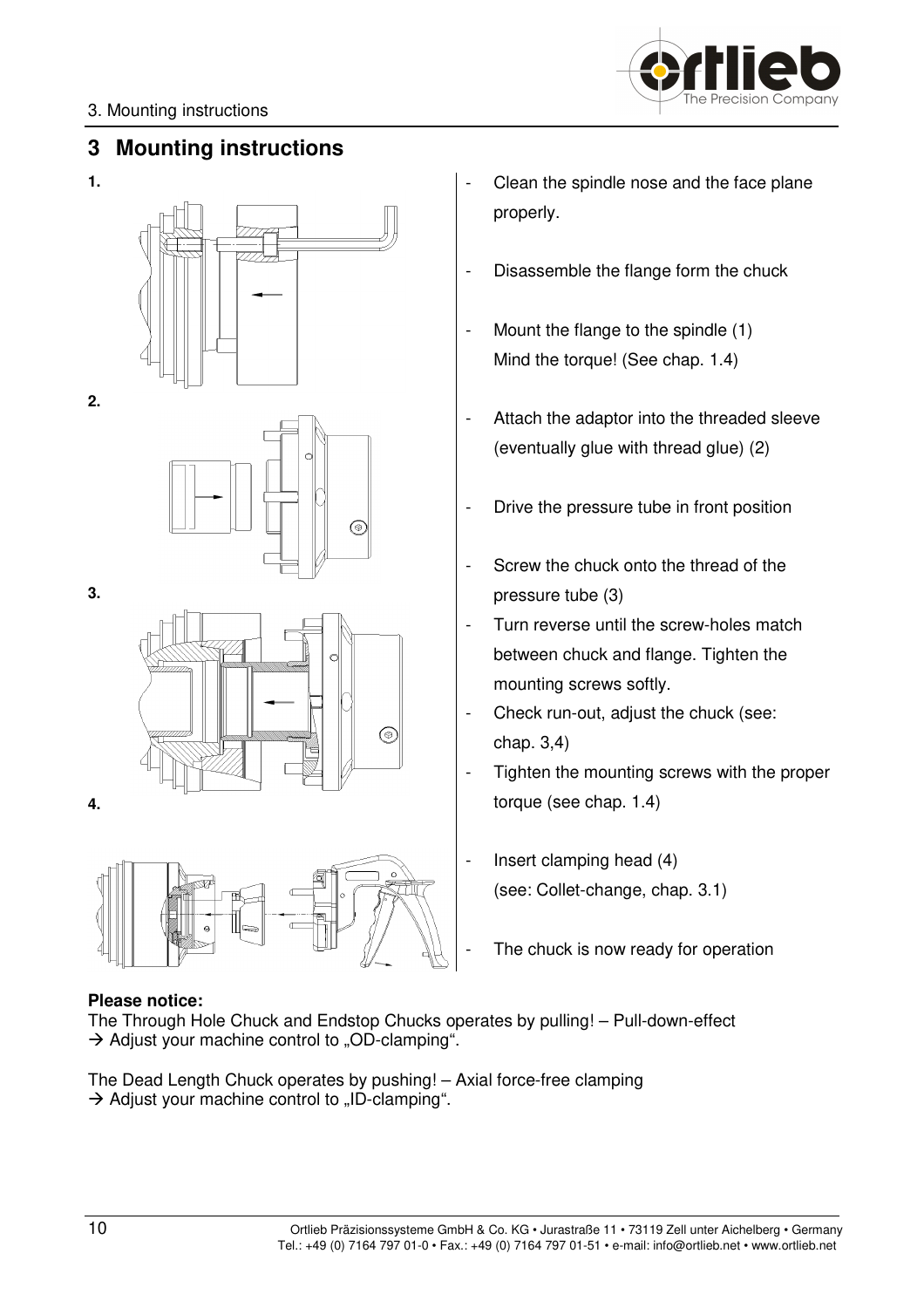

# **3 Mounting instructions**





**2.** 







### **Please notice:**

The Through Hole Chuck and Endstop Chucks operates by pulling! – Pull-down-effect  $\rightarrow$  Adjust your machine control to "OD-clamping".

The Dead Length Chuck operates by pushing! – Axial force-free clamping  $\rightarrow$  Adjust your machine control to ..ID-clamping".

- **1.**  Clean the spindle nose and the face plane properly.
	- Disassemble the flange form the chuck
	- Mount the flange to the spindle (1) Mind the torque! (See chap. 1.4)
	- Attach the adaptor into the threaded sleeve (eventually glue with thread glue) (2)
	- Drive the pressure tube in front position
	- Screw the chuck onto the thread of the pressure tube (3)
	- Turn reverse until the screw-holes match between chuck and flange. Tighten the mounting screws softly.
	- Check run-out, adjust the chuck (see: chap. 3,4)
	- Tighten the mounting screws with the proper torque (see chap. 1.4)
	- Insert clamping head (4) (see: Collet-change, chap. 3.1)
		- The chuck is now ready for operation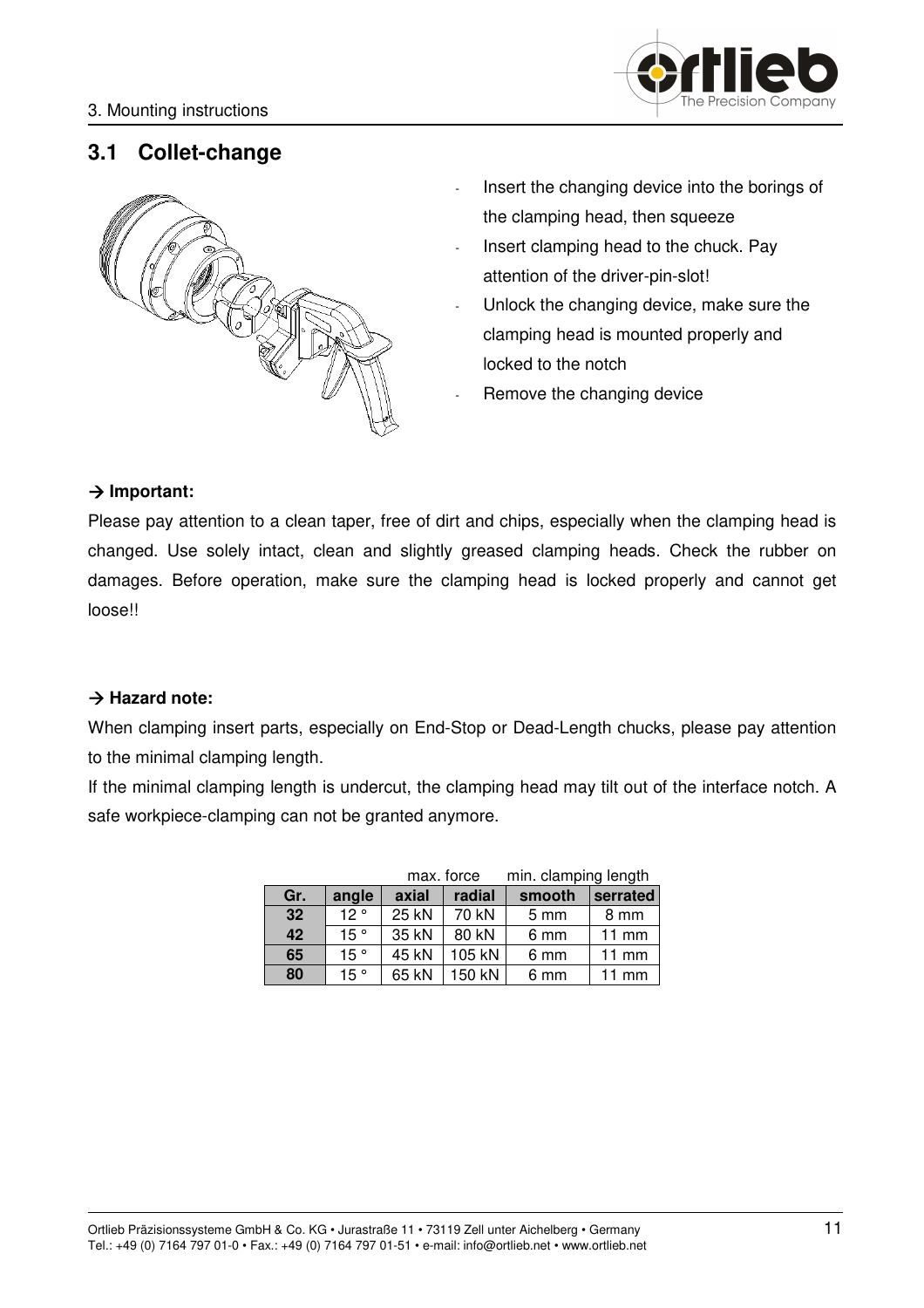

# **3.1 Collet-change**



- Insert the changing device into the borings of the clamping head, then squeeze
- Insert clamping head to the chuck. Pay attention of the driver-pin-slot!
- Unlock the changing device, make sure the clamping head is mounted properly and locked to the notch
- Remove the changing device

#### **→ Important:**

Please pay attention to a clean taper, free of dirt and chips, especially when the clamping head is changed. Use solely intact, clean and slightly greased clamping heads. Check the rubber on damages. Before operation, make sure the clamping head is locked properly and cannot get loose!!

#### **→ Hazard note:**

When clamping insert parts, especially on End-Stop or Dead-Length chucks, please pay attention to the minimal clamping length.

If the minimal clamping length is undercut, the clamping head may tilt out of the interface notch. A safe workpiece-clamping can not be granted anymore.

|     |              |       | max. force | min. clamping length |          |  |
|-----|--------------|-------|------------|----------------------|----------|--|
| Gr. | angle        | axial | radial     | smooth               | serrated |  |
| 32  | 12°          | 25 kN | 70 kN      | $5 \text{ mm}$       | 8 mm     |  |
| 42  | 15°          | 35 kN | 80 kN      | 6 mm                 | $11$ mm  |  |
| 65  | 15°<br>45 kN |       | 105 kN     | 6 mm                 | $11$ mm  |  |
| 80  | 15°<br>65 kN |       | 150 kN     | 6 mm                 | $11$ mm  |  |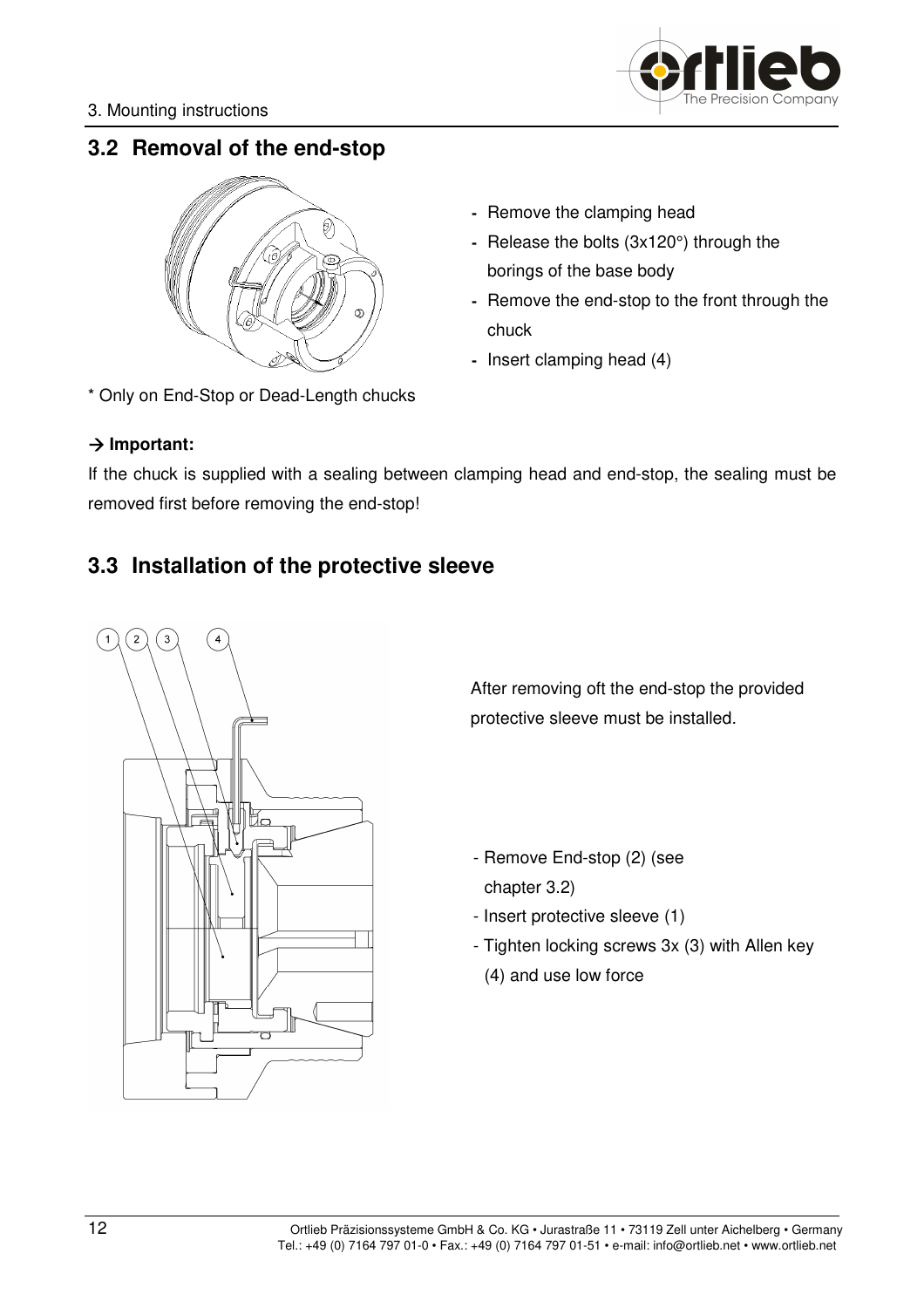

# **3.2 Removal of the end-stop**



- **-** Remove the clamping head
- **-** Release the bolts (3x120°) through the borings of the base body
- **-** Remove the end-stop to the front through the chuck
- **-** Insert clamping head (4)

\* Only on End-Stop or Dead-Length chucks

#### **→ Important:**

If the chuck is supplied with a sealing between clamping head and end-stop, the sealing must be removed first before removing the end-stop!

# **3.3 Installation of the protective sleeve**



After removing oft the end-stop the provided protective sleeve must be installed.

- Remove End-stop (2) (see chapter 3.2)
- Insert protective sleeve (1)
- Tighten locking screws 3x (3) with Allen key (4) and use low force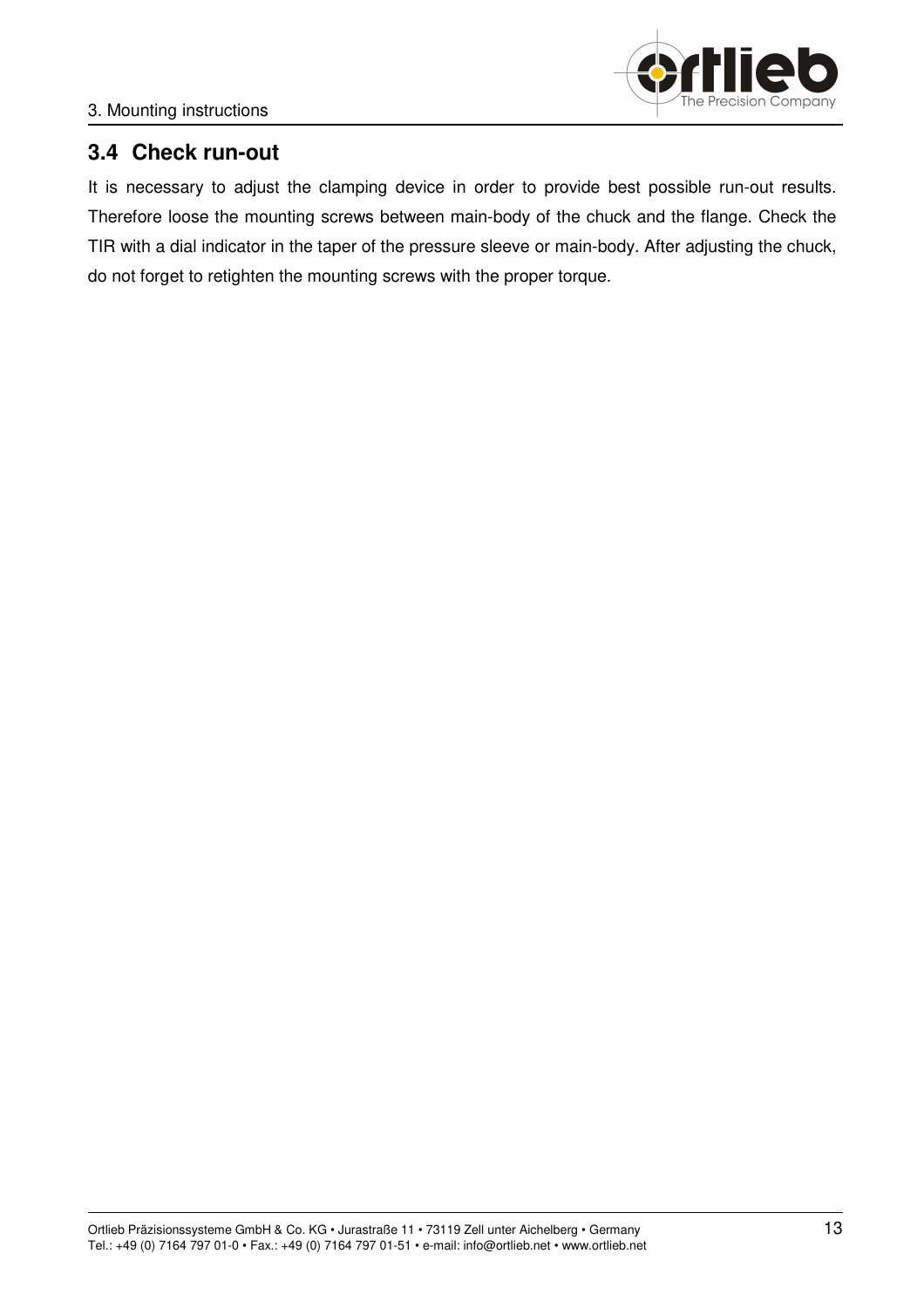

# **3.4 Check run-out**

It is necessary to adjust the clamping device in order to provide best possible run-out results. Therefore loose the mounting screws between main-body of the chuck and the flange. Check the TIR with a dial indicator in the taper of the pressure sleeve or main-body. After adjusting the chuck, do not forget to retighten the mounting screws with the proper torque.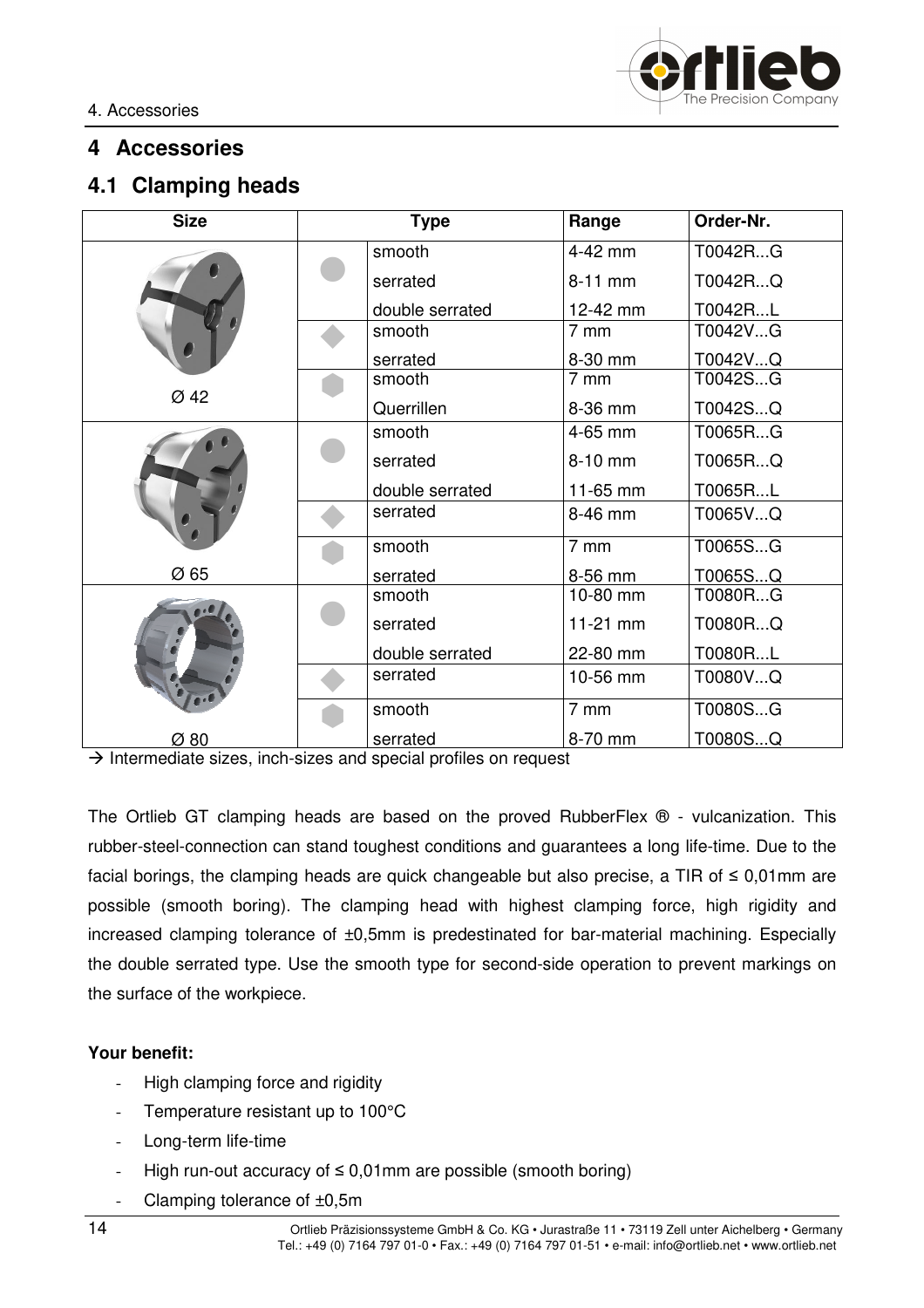

# **4 Accessories**

# **4.1 Clamping heads**

| <b>Size</b> | <b>Type</b>     | Range          | Order-Nr. |
|-------------|-----------------|----------------|-----------|
|             | smooth          | 4-42 mm        | T0042RG   |
|             | serrated        | 8-11 mm        | T0042RQ   |
|             | double serrated | 12-42 mm       | T0042RL   |
|             | smooth          | $7 \text{ mm}$ | T0042VG   |
|             | serrated        | 8-30 mm        | T0042VQ   |
|             | smooth          | $7 \text{ mm}$ | T0042SG   |
| Ø 42        | Querrillen      | 8-36 mm        | T0042SQ   |
|             | smooth          | 4-65 mm        | T0065RG   |
|             | serrated        | 8-10 mm        | T0065RQ   |
|             | double serrated | 11-65 mm       | T0065RL   |
|             | serrated        | 8-46 mm        | T0065VQ   |
|             | smooth          | 7 mm           | T0065SG   |
| Ø 65        | serrated        | 8-56 mm        | T0065SQ   |
|             | smooth          | 10-80 mm       | T0080RG   |
|             | serrated        | 11-21 mm       | T0080RQ   |
|             | double serrated | 22-80 mm       | T0080RL   |
|             | serrated        | 10-56 mm       | T0080VQ   |
|             | smooth          | 7 mm           | T0080SG   |
| Ø 80        | serrated        | 8-70 mm        | T0080SQ   |

 $\rightarrow$  Intermediate sizes, inch-sizes and special profiles on request

The Ortlieb GT clamping heads are based on the proved RubberFlex ® - vulcanization. This rubber-steel-connection can stand toughest conditions and guarantees a long life-time. Due to the facial borings, the clamping heads are quick changeable but also precise, a TIR of ≤ 0,01mm are possible (smooth boring). The clamping head with highest clamping force, high rigidity and increased clamping tolerance of ±0,5mm is predestinated for bar-material machining. Especially the double serrated type. Use the smooth type for second-side operation to prevent markings on the surface of the workpiece.

### **Your benefit:**

- High clamping force and rigidity
- Temperature resistant up to 100°C
- Long-term life-time
- High run-out accuracy of  $\leq 0.01$  mm are possible (smooth boring)
- Clamping tolerance of ±0,5m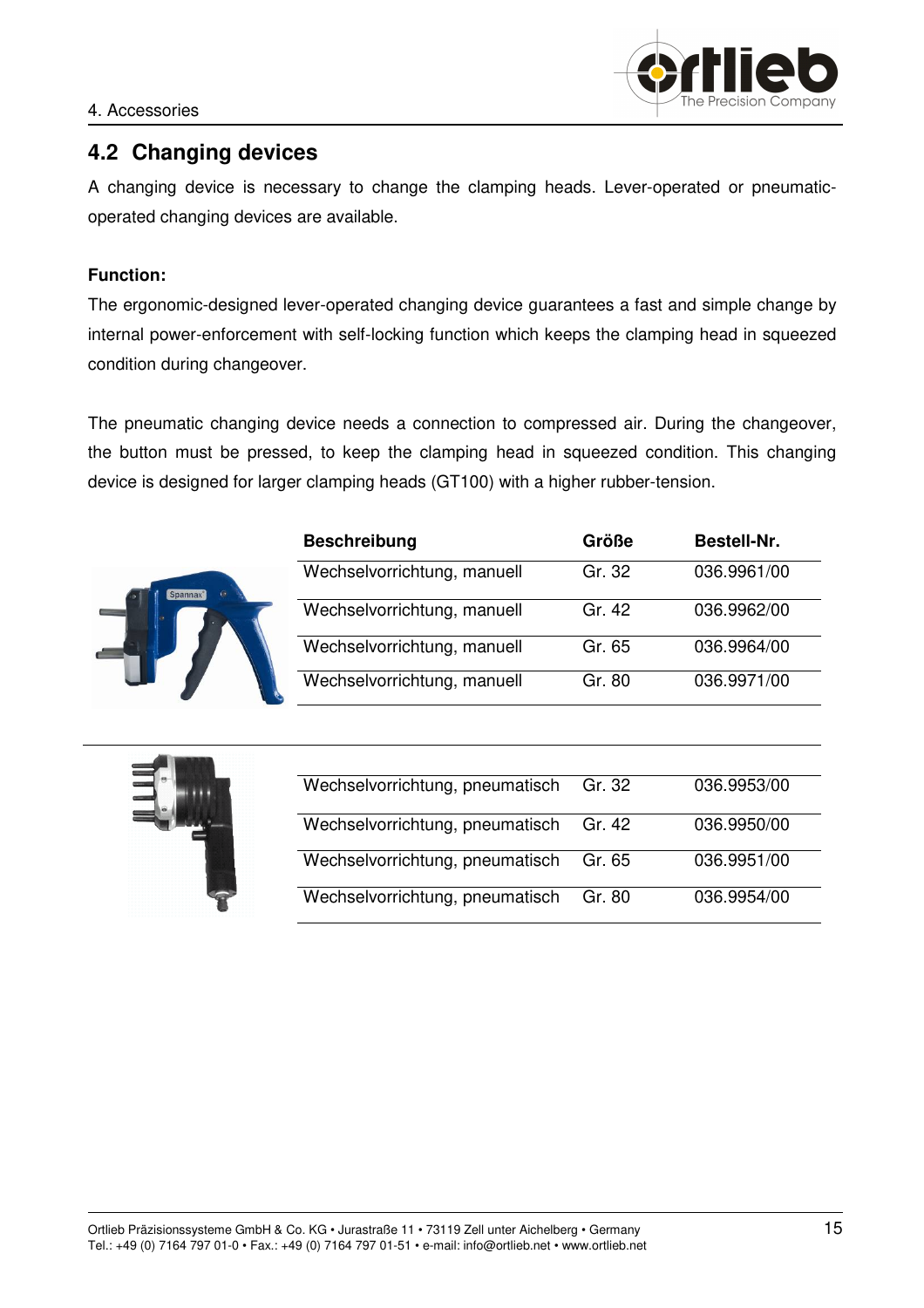#### 4. Accessories



# **4.2 Changing devices**

A changing device is necessary to change the clamping heads. Lever-operated or pneumaticoperated changing devices are available.

#### **Function:**

The ergonomic-designed lever-operated changing device guarantees a fast and simple change by internal power-enforcement with self-locking function which keeps the clamping head in squeezed condition during changeover.

The pneumatic changing device needs a connection to compressed air. During the changeover, the button must be pressed, to keep the clamping head in squeezed condition. This changing device is designed for larger clamping heads (GT100) with a higher rubber-tension.

|                      | <b>Beschreibung</b>         | Größe  | <b>Bestell-Nr.</b> |
|----------------------|-----------------------------|--------|--------------------|
| Spannax <sup>®</sup> | Wechselvorrichtung, manuell | Gr. 32 | 036.9961/00        |
|                      | Wechselvorrichtung, manuell | Gr. 42 | 036.9962/00        |
|                      | Wechselvorrichtung, manuell | Gr. 65 | 036.9964/00        |
|                      | Wechselvorrichtung, manuell | Gr. 80 | 036.9971/00        |
|                      |                             |        |                    |



| Wechselvorrichtung, pneumatisch | Gr. 32 | 036.9953/00 |
|---------------------------------|--------|-------------|
| Wechselvorrichtung, pneumatisch | Gr. 42 | 036.9950/00 |
| Wechselvorrichtung, pneumatisch | Gr. 65 | 036.9951/00 |
| Wechselvorrichtung, pneumatisch | Gr. 80 | 036.9954/00 |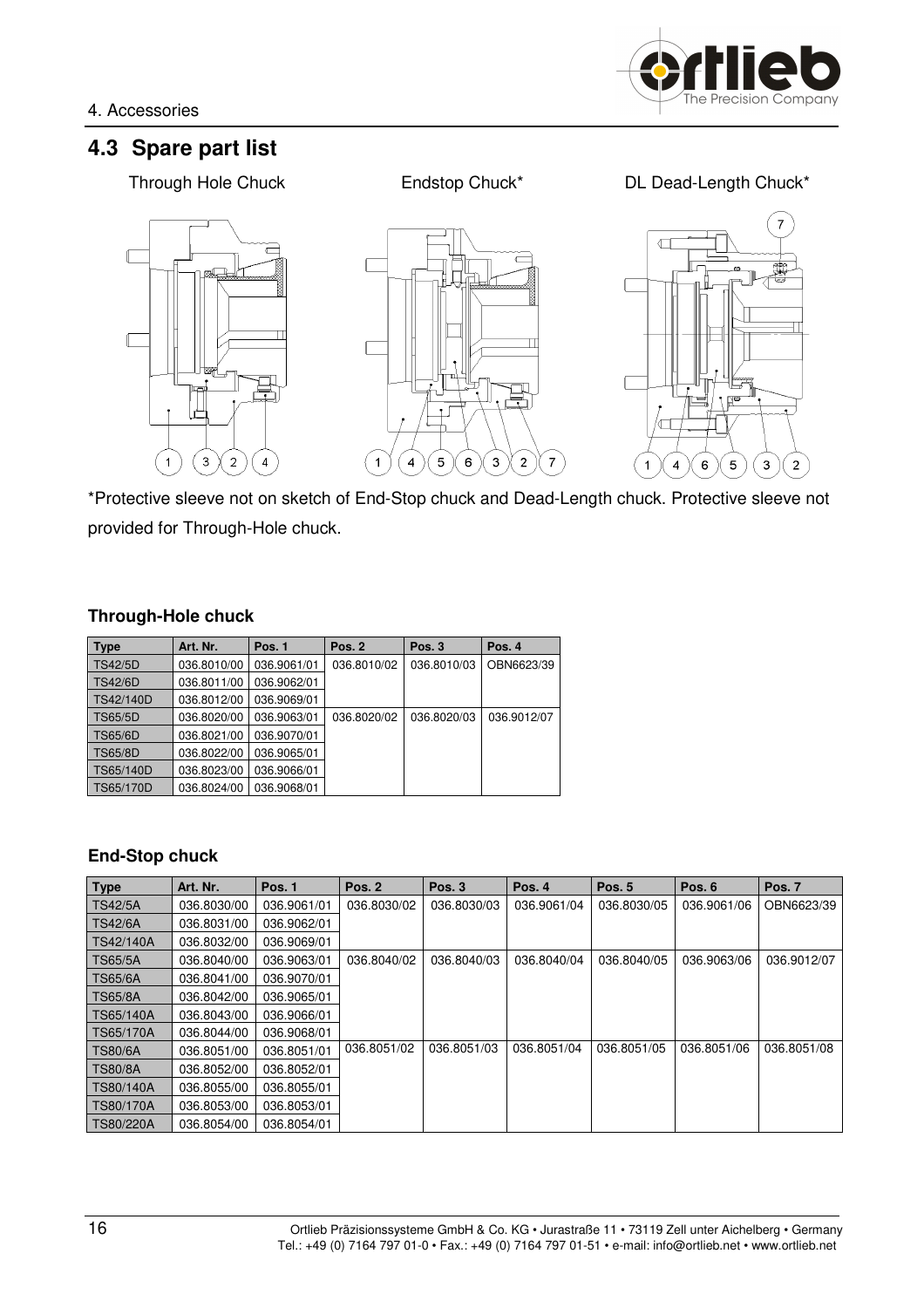

# **4.3 Spare part list**

Through Hole Chuck **Endstop Chuck\*** DL Dead-Length Chuck\*



\*Protective sleeve not on sketch of End-Stop chuck and Dead-Length chuck. Protective sleeve not provided for Through-Hole chuck.

#### **Through-Hole chuck**

| Type           | Art. Nr.    | Pos. 1      | Pos. 2      | Pos. 3      | Pos. 4      |
|----------------|-------------|-------------|-------------|-------------|-------------|
| TS42/5D        | 036.8010/00 | 036.9061/01 | 036.8010/02 | 036.8010/03 | OBN6623/39  |
| TS42/6D        | 036.8011/00 | 036.9062/01 |             |             |             |
| TS42/140D      | 036.8012/00 | 036.9069/01 |             |             |             |
| TS65/5D        | 036.8020/00 | 036.9063/01 | 036.8020/02 | 036.8020/03 | 036.9012/07 |
| TS65/6D        | 036.8021/00 | 036.9070/01 |             |             |             |
| <b>TS65/8D</b> | 036.8022/00 | 036.9065/01 |             |             |             |
| TS65/140D      | 036.8023/00 | 036.9066/01 |             |             |             |
| TS65/170D      | 036.8024/00 | 036.9068/01 |             |             |             |

### **End-Stop chuck**

| <b>Type</b>      | Art. Nr.    | Pos. 1      | Pos. $2$    | Pos. $3$    | Pos. 4      | <b>Pos. 5</b> | Pos. 6      | Pos. 7      |
|------------------|-------------|-------------|-------------|-------------|-------------|---------------|-------------|-------------|
| <b>TS42/5A</b>   | 036.8030/00 | 036.9061/01 | 036.8030/02 | 036.8030/03 | 036.9061/04 | 036.8030/05   | 036.9061/06 | OBN6623/39  |
| <b>TS42/6A</b>   | 036.8031/00 | 036.9062/01 |             |             |             |               |             |             |
| TS42/140A        | 036.8032/00 | 036.9069/01 |             |             |             |               |             |             |
| <b>TS65/5A</b>   | 036.8040/00 | 036.9063/01 | 036.8040/02 | 036.8040/03 | 036.8040/04 | 036.8040/05   | 036.9063/06 | 036.9012/07 |
| <b>TS65/6A</b>   | 036.8041/00 | 036.9070/01 |             |             |             |               |             |             |
| <b>TS65/8A</b>   | 036.8042/00 | 036.9065/01 |             |             |             |               |             |             |
| TS65/140A        | 036.8043/00 | 036.9066/01 |             |             |             |               |             |             |
| TS65/170A        | 036.8044/00 | 036.9068/01 |             |             |             |               |             |             |
| <b>TS80/6A</b>   | 036.8051/00 | 036.8051/01 | 036.8051/02 | 036.8051/03 | 036.8051/04 | 036.8051/05   | 036.8051/06 | 036.8051/08 |
| <b>TS80/8A</b>   | 036.8052/00 | 036.8052/01 |             |             |             |               |             |             |
| TS80/140A        | 036.8055/00 | 036.8055/01 |             |             |             |               |             |             |
| <b>TS80/170A</b> | 036.8053/00 | 036.8053/01 |             |             |             |               |             |             |
| TS80/220A        | 036.8054/00 | 036.8054/01 |             |             |             |               |             |             |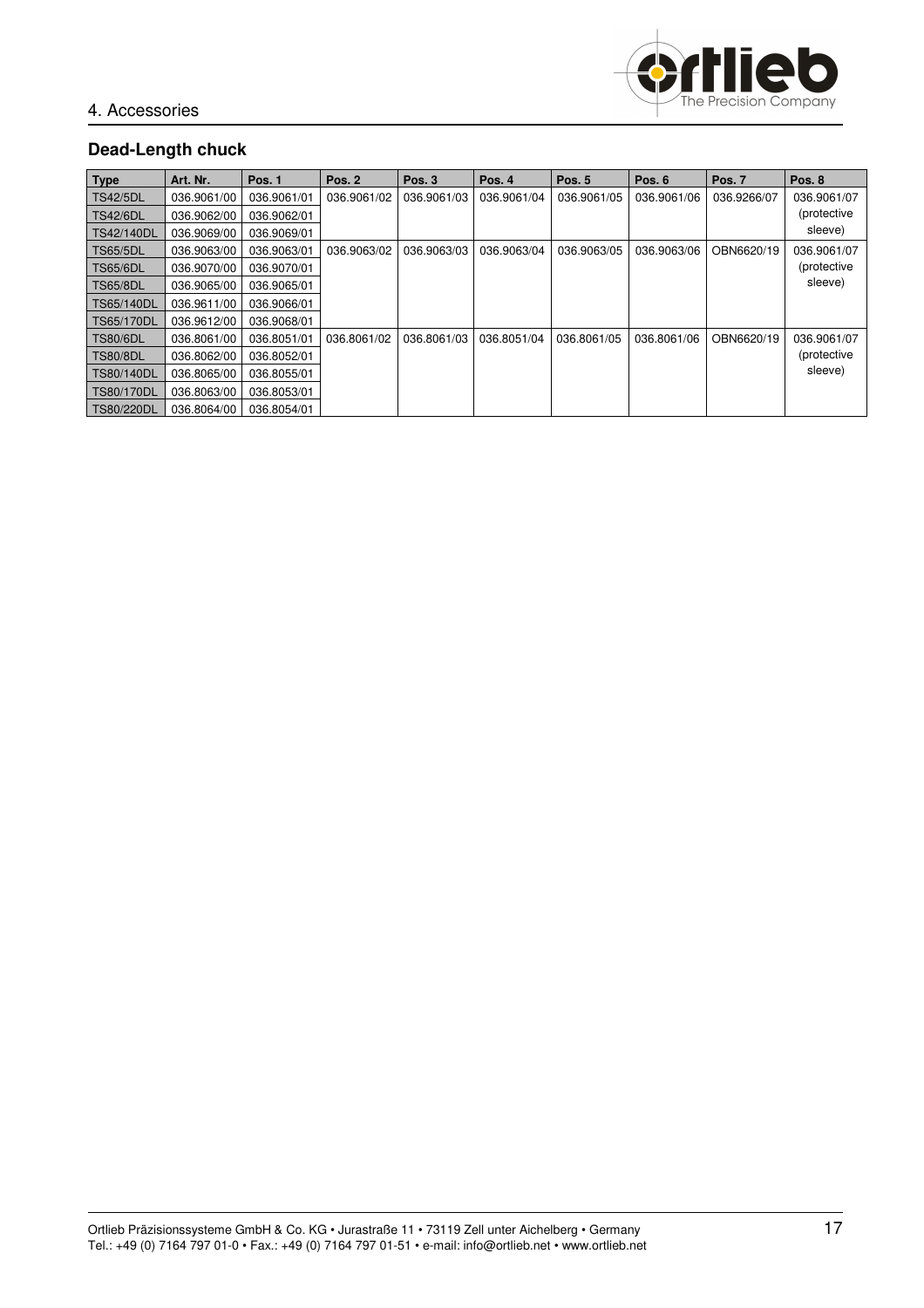

#### 4. Accessories

### **Dead-Length chuck**

| <b>Type</b>       | Art. Nr.    | Pos. 1      | Pos. 2      | Pos.3       | Pos. 4      | <b>Pos. 5</b> | Pos. 6      | Pos. 7      | Pos. 8      |
|-------------------|-------------|-------------|-------------|-------------|-------------|---------------|-------------|-------------|-------------|
| <b>TS42/5DL</b>   | 036.9061/00 | 036.9061/01 | 036.9061/02 | 036.9061/03 | 036.9061/04 | 036.9061/05   | 036.9061/06 | 036.9266/07 | 036.9061/07 |
| <b>TS42/6DL</b>   | 036.9062/00 | 036.9062/01 |             |             |             |               |             |             | (protective |
| <b>TS42/140DL</b> | 036.9069/00 | 036.9069/01 |             |             |             |               |             |             | sleeve)     |
| <b>TS65/5DL</b>   | 036.9063/00 | 036.9063/01 | 036.9063/02 | 036.9063/03 | 036.9063/04 | 036.9063/05   | 036.9063/06 | OBN6620/19  | 036.9061/07 |
| <b>TS65/6DL</b>   | 036.9070/00 | 036.9070/01 |             |             |             |               |             |             | (protective |
| <b>TS65/8DL</b>   | 036.9065/00 | 036.9065/01 |             |             |             |               |             |             | sleeve)     |
| <b>TS65/140DL</b> | 036.9611/00 | 036.9066/01 |             |             |             |               |             |             |             |
| <b>TS65/170DL</b> | 036.9612/00 | 036.9068/01 |             |             |             |               |             |             |             |
| <b>TS80/6DL</b>   | 036.8061/00 | 036.8051/01 | 036.8061/02 | 036.8061/03 | 036.8051/04 | 036.8061/05   | 036.8061/06 | OBN6620/19  | 036.9061/07 |
| <b>TS80/8DL</b>   | 036.8062/00 | 036.8052/01 |             |             |             |               |             |             | (protective |
| <b>TS80/140DL</b> | 036.8065/00 | 036.8055/01 |             |             |             |               |             |             | sleeve)     |
| <b>TS80/170DL</b> | 036.8063/00 | 036.8053/01 |             |             |             |               |             |             |             |
| <b>TS80/220DL</b> | 036.8064/00 | 036.8054/01 |             |             |             |               |             |             |             |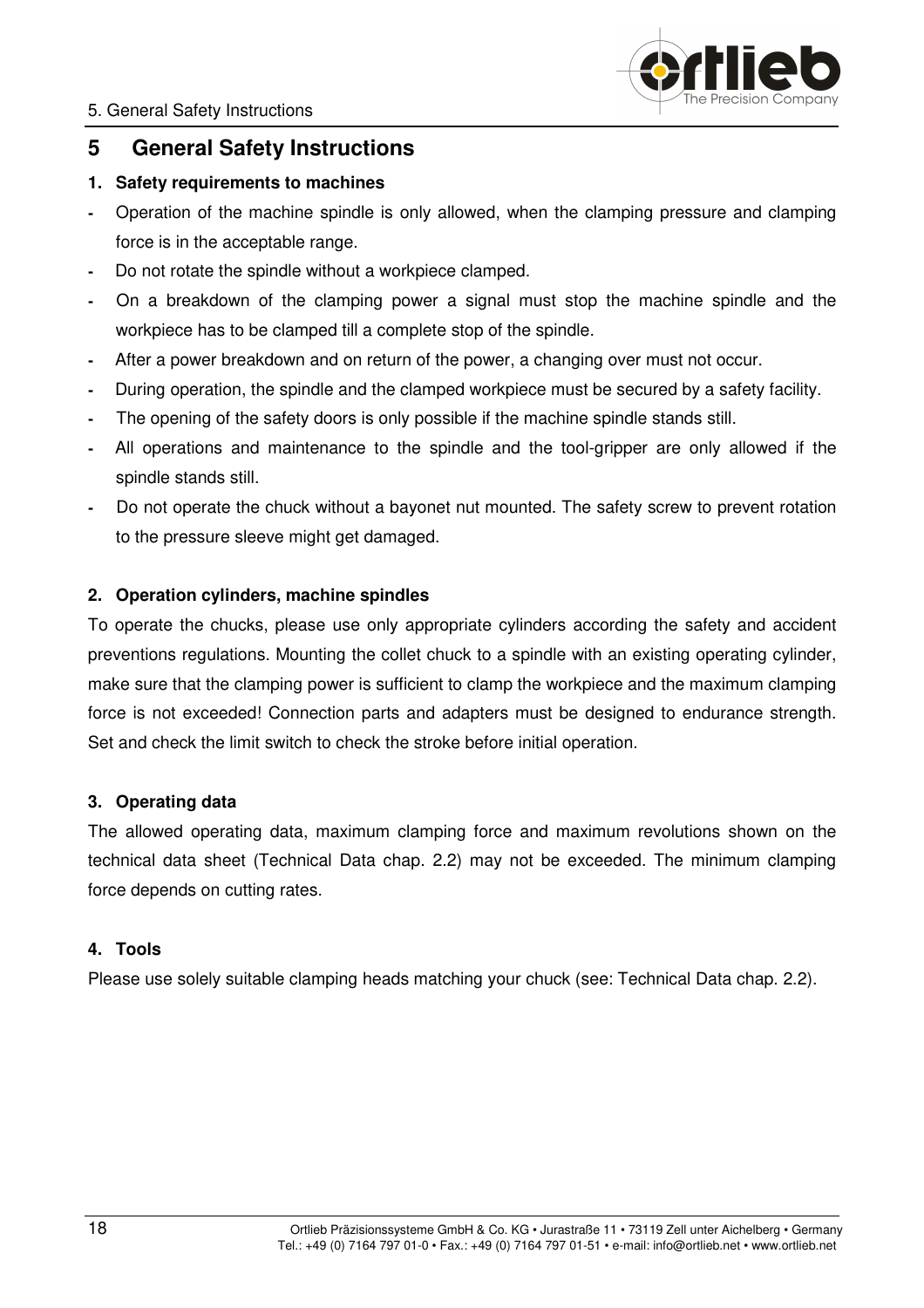

# **5 General Safety Instructions**

#### **1. Safety requirements to machines**

- **-** Operation of the machine spindle is only allowed, when the clamping pressure and clamping force is in the acceptable range.
- **-** Do not rotate the spindle without a workpiece clamped.
- **-** On a breakdown of the clamping power a signal must stop the machine spindle and the workpiece has to be clamped till a complete stop of the spindle.
- **-** After a power breakdown and on return of the power, a changing over must not occur.
- **-** During operation, the spindle and the clamped workpiece must be secured by a safety facility.
- **-** The opening of the safety doors is only possible if the machine spindle stands still.
- **-** All operations and maintenance to the spindle and the tool-gripper are only allowed if the spindle stands still.
- **-** Do not operate the chuck without a bayonet nut mounted. The safety screw to prevent rotation to the pressure sleeve might get damaged.

### **2. Operation cylinders, machine spindles**

To operate the chucks, please use only appropriate cylinders according the safety and accident preventions regulations. Mounting the collet chuck to a spindle with an existing operating cylinder, make sure that the clamping power is sufficient to clamp the workpiece and the maximum clamping force is not exceeded! Connection parts and adapters must be designed to endurance strength. Set and check the limit switch to check the stroke before initial operation.

### **3. Operating data**

The allowed operating data, maximum clamping force and maximum revolutions shown on the technical data sheet (Technical Data chap. 2.2) may not be exceeded. The minimum clamping force depends on cutting rates.

### **4. Tools**

Please use solely suitable clamping heads matching your chuck (see: Technical Data chap. 2.2).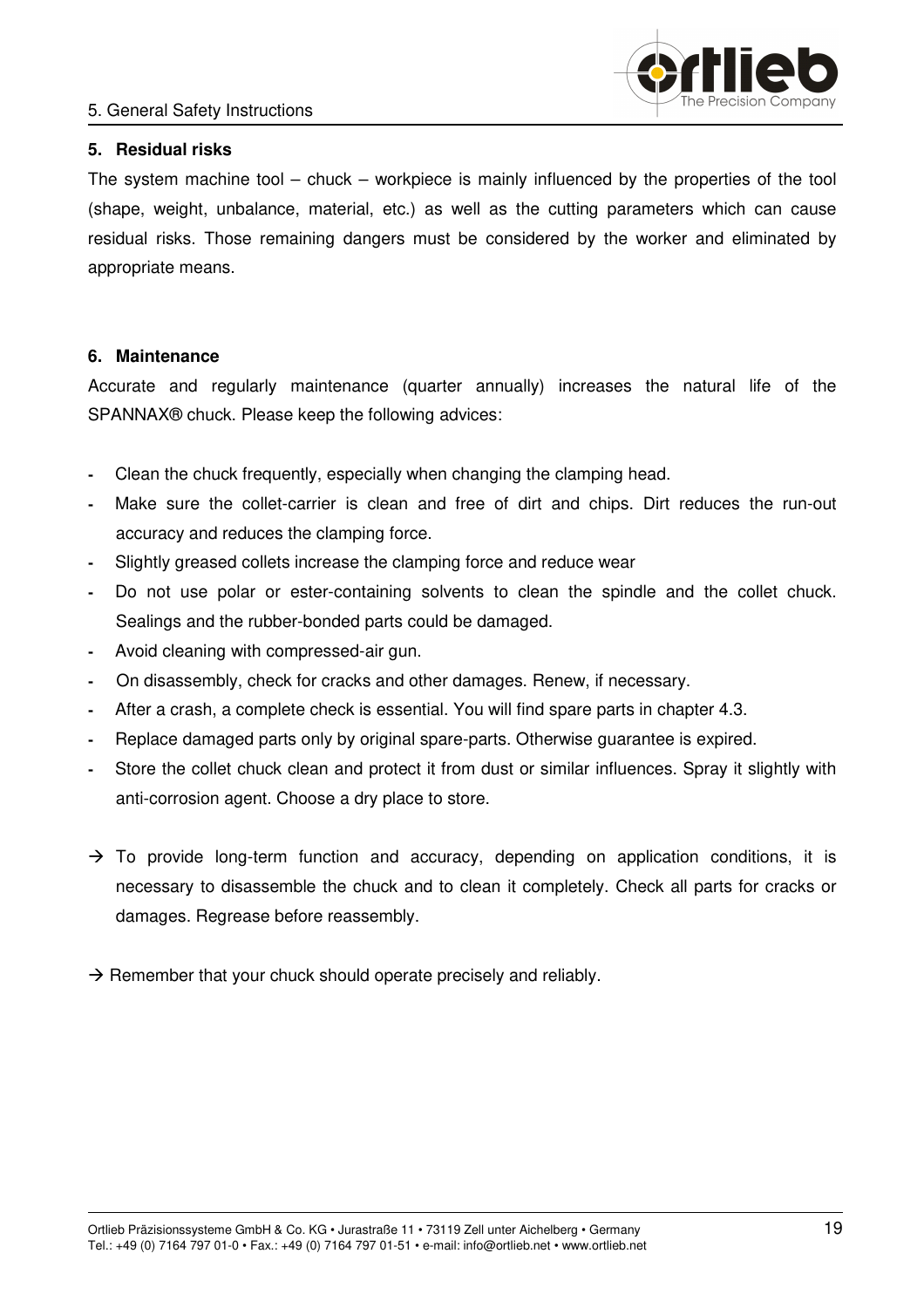

#### **5. Residual risks**

The system machine tool – chuck – workpiece is mainly influenced by the properties of the tool (shape, weight, unbalance, material, etc.) as well as the cutting parameters which can cause residual risks. Those remaining dangers must be considered by the worker and eliminated by appropriate means.

#### **6. Maintenance**

Accurate and regularly maintenance (quarter annually) increases the natural life of the SPANNAX® chuck. Please keep the following advices:

- **-** Clean the chuck frequently, especially when changing the clamping head.
- **-** Make sure the collet-carrier is clean and free of dirt and chips. Dirt reduces the run-out accuracy and reduces the clamping force.
- **-** Slightly greased collets increase the clamping force and reduce wear
- **-** Do not use polar or ester-containing solvents to clean the spindle and the collet chuck. Sealings and the rubber-bonded parts could be damaged.
- **-** Avoid cleaning with compressed-air gun.
- **-** On disassembly, check for cracks and other damages. Renew, if necessary.
- **-** After a crash, a complete check is essential. You will find spare parts in chapter 4.3.
- **-** Replace damaged parts only by original spare-parts. Otherwise guarantee is expired.
- **-** Store the collet chuck clean and protect it from dust or similar influences. Spray it slightly with anti-corrosion agent. Choose a dry place to store.
- $\rightarrow$  To provide long-term function and accuracy, depending on application conditions, it is necessary to disassemble the chuck and to clean it completely. Check all parts for cracks or damages. Regrease before reassembly.
- $\rightarrow$  Remember that your chuck should operate precisely and reliably.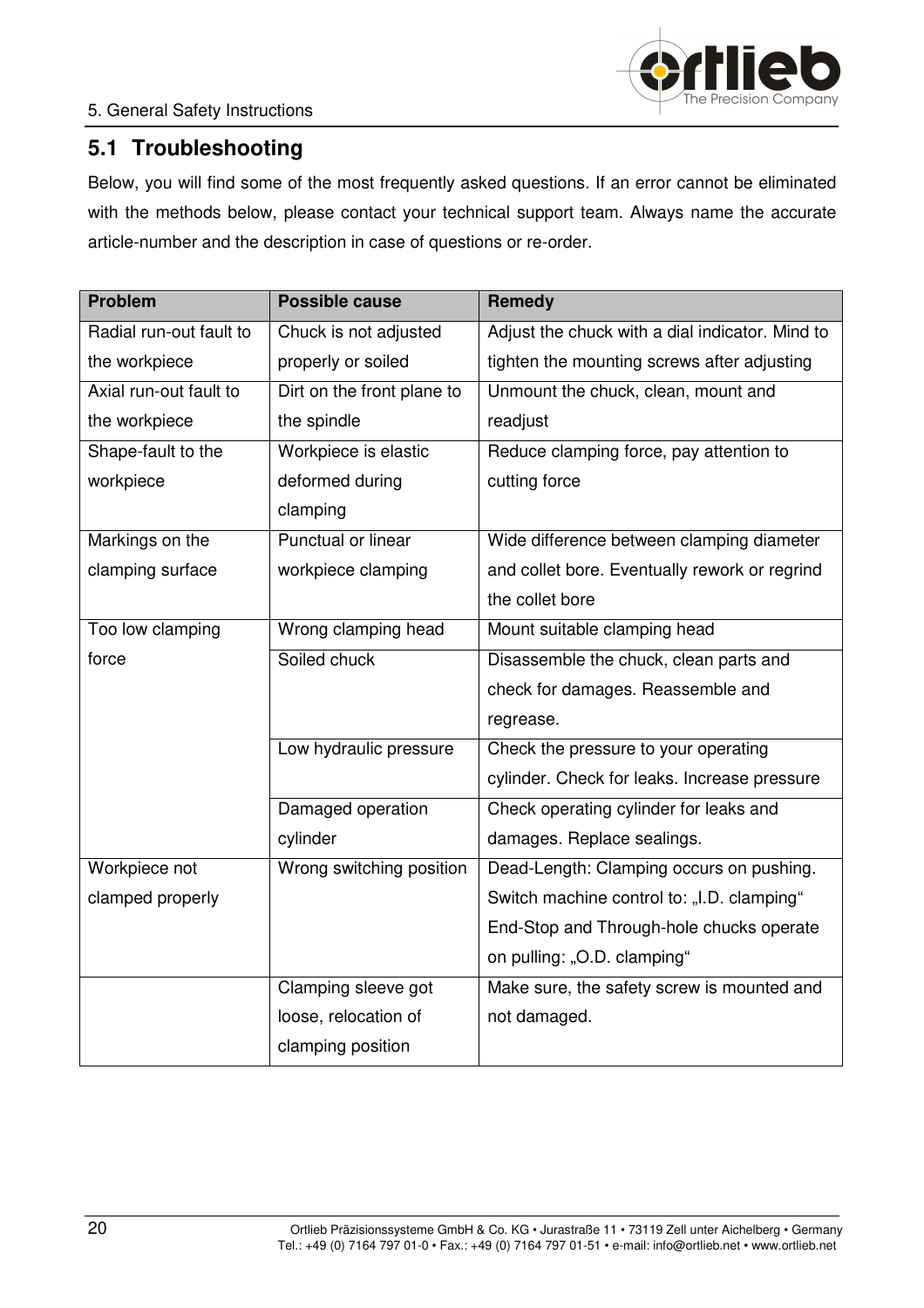

# **5.1 Troubleshooting**

Below, you will find some of the most frequently asked questions. If an error cannot be eliminated with the methods below, please contact your technical support team. Always name the accurate article-number and the description in case of questions or re-order.

| Problem                 | <b>Possible cause</b>      | Remedy                                          |
|-------------------------|----------------------------|-------------------------------------------------|
| Radial run-out fault to | Chuck is not adjusted      | Adjust the chuck with a dial indicator. Mind to |
| the workpiece           | properly or soiled         | tighten the mounting screws after adjusting     |
| Axial run-out fault to  | Dirt on the front plane to | Unmount the chuck, clean, mount and             |
| the workpiece           | the spindle                | readjust                                        |
| Shape-fault to the      | Workpiece is elastic       | Reduce clamping force, pay attention to         |
| workpiece               | deformed during            | cutting force                                   |
|                         | clamping                   |                                                 |
| Markings on the         | Punctual or linear         | Wide difference between clamping diameter       |
| clamping surface        | workpiece clamping         | and collet bore. Eventually rework or regrind   |
|                         |                            | the collet bore                                 |
| Too low clamping        | Wrong clamping head        | Mount suitable clamping head                    |
| force                   | Soiled chuck               | Disassemble the chuck, clean parts and          |
|                         |                            | check for damages. Reassemble and               |
|                         |                            | regrease.                                       |
|                         | Low hydraulic pressure     | Check the pressure to your operating            |
|                         |                            | cylinder. Check for leaks. Increase pressure    |
|                         | Damaged operation          | Check operating cylinder for leaks and          |
|                         | cylinder                   | damages. Replace sealings.                      |
| Workpiece not           | Wrong switching position   | Dead-Length: Clamping occurs on pushing.        |
| clamped properly        |                            | Switch machine control to: "I.D. clamping"      |
|                         |                            | End-Stop and Through-hole chucks operate        |
|                         |                            | on pulling: "O.D. clamping"                     |
|                         | Clamping sleeve got        | Make sure, the safety screw is mounted and      |
|                         | loose, relocation of       | not damaged.                                    |
|                         | clamping position          |                                                 |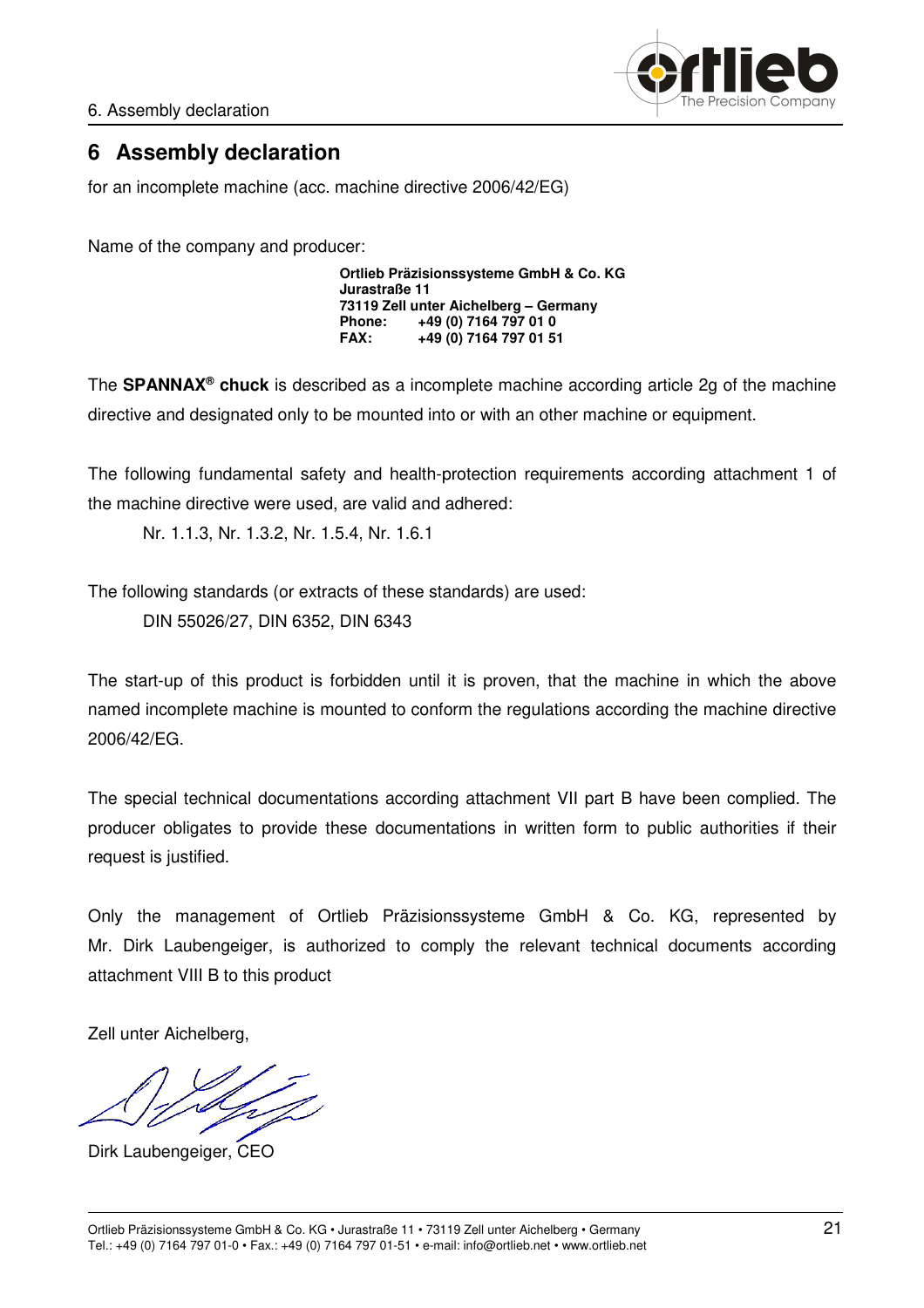6. Assembly declaration



# **6 Assembly declaration**

for an incomplete machine (acc. machine directive 2006/42/EG)

Name of the company and producer:

**Ortlieb Präzisionssysteme GmbH & Co. KG Jurastraße 11 73119 Zell unter Aichelberg – Germany Phone: +49 (0) 7164 797 01 0 FAX: +49 (0) 7164 797 01 51** 

The **SPANNAX® chuck** is described as a incomplete machine according article 2g of the machine directive and designated only to be mounted into or with an other machine or equipment.

The following fundamental safety and health-protection requirements according attachment 1 of the machine directive were used, are valid and adhered:

Nr. 1.1.3, Nr. 1.3.2, Nr. 1.5.4, Nr. 1.6.1

The following standards (or extracts of these standards) are used: DIN 55026/27, DIN 6352, DIN 6343

The start-up of this product is forbidden until it is proven, that the machine in which the above named incomplete machine is mounted to conform the regulations according the machine directive 2006/42/EG.

The special technical documentations according attachment VII part B have been complied. The producer obligates to provide these documentations in written form to public authorities if their request is justified.

Only the management of Ortlieb Präzisionssysteme GmbH & Co. KG, represented by Mr. Dirk Laubengeiger, is authorized to comply the relevant technical documents according attachment VIII B to this product

Zell unter Aichelberg,

Dirk Laubengeiger, CEO